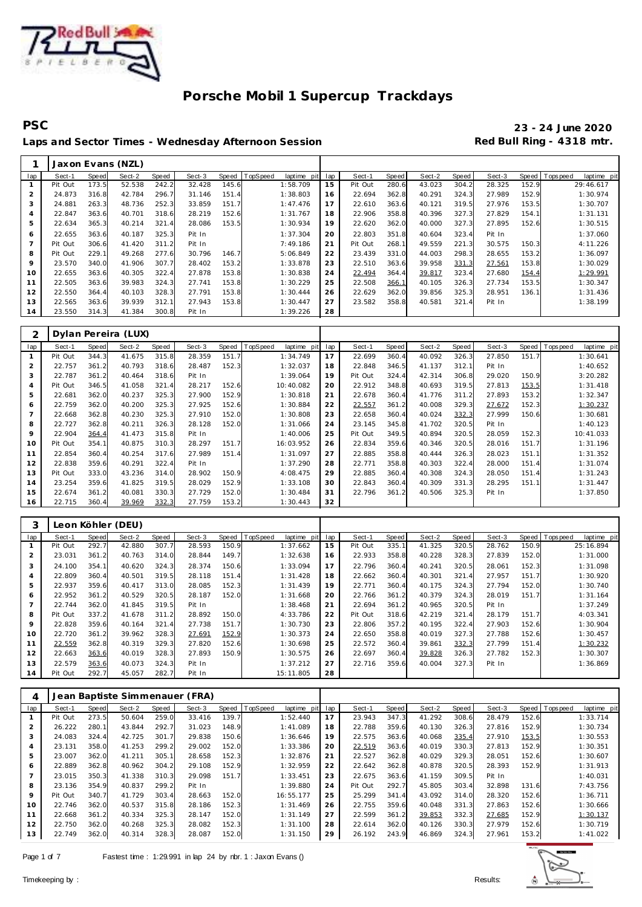

**PSC 23 - 24 June 2020** Laps and Sector Times - Wednesday Afternoon Session **Red Bull Ring - 4318 mtr.** 

|                |         |       | Jaxon Evans (NZL) |       |        |       |          |             |     |         |       |        |       |        |       |                |             |
|----------------|---------|-------|-------------------|-------|--------|-------|----------|-------------|-----|---------|-------|--------|-------|--------|-------|----------------|-------------|
| lap            | Sect-1  | Speed | Sect-2            | Speed | Sect-3 | Speed | TopSpeed | laptime pit | lap | Sect-1  | Speed | Sect-2 | Speed | Sect-3 |       | Speed Topspeed | laptime pit |
|                | Pit Out | 173.5 | 52.538            | 242.2 | 32.428 | 145.6 |          | 1:58.709    | 15  | Pit Out | 280.6 | 43.023 | 304.2 | 28.325 | 152.9 |                | 29:46.617   |
| $\overline{2}$ | 24.873  | 316.8 | 42.784            | 296.7 | 31.146 | 151.4 |          | 1:38.803    | 16  | 22.694  | 362.8 | 40.291 | 324.3 | 27.989 | 152.9 |                | 1:30.974    |
| 3              | 24.881  | 263.3 | 48.736            | 252.3 | 33.859 | 151.7 |          | 1:47.476    | 17  | 22.610  | 363.6 | 40.121 | 319.5 | 27.976 | 153.5 |                | 1:30.707    |
| 4              | 22.847  | 363.6 | 40.701            | 318.6 | 28.219 | 152.6 |          | 1:31.767    | 18  | 22.906  | 358.8 | 40.396 | 327.3 | 27.829 | 154.1 |                | 1:31.131    |
| 5              | 22.634  | 365.3 | 40.214            | 321.4 | 28.086 | 153.5 |          | 1:30.934    | 19  | 22.620  | 362.0 | 40.000 | 327.3 | 27.895 | 152.6 |                | 1:30.515    |
| 6              | 22.655  | 363.6 | 40.187            | 325.3 | Pit In |       |          | 1:37.304    | 20  | 22.803  | 351.8 | 40.604 | 323.4 | Pit In |       |                | 1:37.060    |
|                | Pit Out | 306.6 | 41.420            | 311.2 | Pit In |       |          | 7:49.186    | 21  | Pit Out | 268.1 | 49.559 | 221.3 | 30.575 | 150.3 |                | 4:11.226    |
| 8              | Pit Out | 229.1 | 49.268            | 277.6 | 30.796 | 146.7 |          | 5:06.849    | 22  | 23.439  | 331.0 | 44.003 | 298.3 | 28.655 | 153.2 |                | 1:36.097    |
| 9              | 23.570  | 340.0 | 41.906            | 307.7 | 28.402 | 153.2 |          | 1:33.878    | 23  | 22.510  | 363.6 | 39.958 | 331.3 | 27.561 | 153.8 |                | 1:30.029    |
| 10             | 22.655  | 363.6 | 40.305            | 322.4 | 27.878 | 153.8 |          | 1:30.838    | 24  | 22.494  | 364.4 | 39.817 | 323.4 | 27.680 | 154.4 |                | 1:29.991    |
| 11             | 22.505  | 363.6 | 39.983            | 324.3 | 27.741 | 153.8 |          | 1:30.229    | 25  | 22.508  | 366.1 | 40.105 | 326.3 | 27.734 | 153.5 |                | 1:30.347    |
| 12             | 22.550  | 364.4 | 40.103            | 328.3 | 27.791 | 153.8 |          | 1:30.444    | 26  | 22.629  | 362.0 | 39.856 | 325.3 | 28.951 | 136.1 |                | 1:31.436    |
| 13             | 22.565  | 363.6 | 39.939            | 312.1 | 27.943 | 153.8 |          | 1:30.447    | 27  | 23.582  | 358.8 | 40.581 | 321.4 | Pit In |       |                | 1:38.199    |
| 14             | 23.550  | 314.3 | 41.384            | 300.8 | Pit In |       |          | 1:39.226    | 28  |         |       |        |       |        |       |                |             |

|                |         |       | Dylan Pereira (LUX) |       |        |       |                         |     |         |       |        |       |        |       |                |             |
|----------------|---------|-------|---------------------|-------|--------|-------|-------------------------|-----|---------|-------|--------|-------|--------|-------|----------------|-------------|
| lap            | Sect-1  | Speed | Sect-2              | Speed | Sect-3 | Speed | TopSpeed<br>laptime pit | lap | Sect-1  | Speed | Sect-2 | Speed | Sect-3 |       | Speed Topspeed | laptime pit |
|                | Pit Out | 344.3 | 41.675              | 315.8 | 28.359 | 151.7 | 1:34.749                | 17  | 22.699  | 360.4 | 40.092 | 326.3 | 27.850 | 151.7 |                | 1:30.641    |
| 2              | 22.757  | 361.2 | 40.793              | 318.6 | 28.487 | 152.3 | 1:32.037                | 18  | 22.848  | 346.5 | 41.137 | 312.1 | Pit In |       |                | 1:40.652    |
| 3              | 22.787  | 361.2 | 40.464              | 318.6 | Pit In |       | 1:39.064                | 19  | Pit Out | 324.4 | 42.314 | 306.8 | 29.020 | 150.9 |                | 3:20.282    |
| $\overline{4}$ | Pit Out | 346.5 | 41.058              | 321.4 | 28.217 | 152.6 | 10:40.082               | 20  | 22.912  | 348.8 | 40.693 | 319.5 | 27.813 | 153.5 |                | 1:31.418    |
| 5              | 22.681  | 362.0 | 40.237              | 325.3 | 27.900 | 152.9 | 1:30.818                | 21  | 22.678  | 360.4 | 41.776 | 311.2 | 27.893 | 153.2 |                | 1:32.347    |
| 6              | 22.759  | 362.0 | 40.200              | 325.3 | 27.925 | 152.6 | 1:30.884                | 22  | 22.557  | 361.2 | 40.008 | 329.3 | 27.672 | 152.3 |                | 1:30.237    |
|                | 22.668  | 362.8 | 40.230              | 325.3 | 27.910 | 152.0 | 1:30.808                | 23  | 22.658  | 360.4 | 40.024 | 332.3 | 27.999 | 150.6 |                | 1:30.681    |
| 8              | 22.727  | 362.8 | 40.211              | 326.3 | 28.128 | 152.0 | 1:31.066                | 24  | 23.145  | 345.8 | 41.702 | 320.5 | Pit In |       |                | 1:40.123    |
| 9              | 22.904  | 364.4 | 41.473              | 315.8 | Pit In |       | 1:40.006                | 25  | Pit Out | 349.5 | 40.894 | 320.5 | 28.059 | 152.3 |                | 10:41.033   |
| 10             | Pit Out | 354.1 | 40.875              | 310.3 | 28.297 | 151.7 | 16:03.952               | 26  | 22.834  | 359.6 | 40.346 | 320.5 | 28.016 | 151.7 |                | 1:31.196    |
| 11             | 22.854  | 360.4 | 40.254              | 317.6 | 27.989 | 151.4 | 1:31.097                | 27  | 22.885  | 358.8 | 40.444 | 326.3 | 28.023 | 151.1 |                | 1:31.352    |
| 12             | 22.838  | 359.6 | 40.291              | 322.4 | Pit In |       | 1:37.290                | 28  | 22.771  | 358.8 | 40.303 | 322.4 | 28.000 | 151.4 |                | 1:31.074    |
| 13             | Pit Out | 333.0 | 43.236              | 314.0 | 28.902 | 150.9 | 4:08.475                | 29  | 22.885  | 360.4 | 40.308 | 324.3 | 28.050 | 151.4 |                | 1:31.243    |
| 14             | 23.254  | 359.6 | 41.825              | 319.5 | 28.029 | 152.9 | 1:33.108                | 30  | 22.843  | 360.4 | 40.309 | 331.3 | 28.295 | 151.1 |                | 1:31.447    |
| 15             | 22.674  | 361.2 | 40.081              | 330.3 | 27.729 | 152.0 | 1:30.484                | 31  | 22.796  | 361.2 | 40.506 | 325.3 | Pit In |       |                | 1:37.850    |
| 16             | 22.715  | 360.4 | 39.969              | 332.3 | 27.759 | 153.2 | 1:30.443                | 32  |         |       |        |       |        |       |                |             |

| 3              |         |       | Leon Köhler (DEU) |       |        |              |          |                 |     |         |       |        |       |        |       |                  |             |
|----------------|---------|-------|-------------------|-------|--------|--------------|----------|-----------------|-----|---------|-------|--------|-------|--------|-------|------------------|-------------|
| lap            | Sect-1  | Speed | Sect-2            | Speed | Sect-3 | Speed        | TopSpeed | laptime<br>pitl | lap | Sect-1  | Speed | Sect-2 | Speed | Sect-3 |       | Speed   Topspeed | laptime pit |
|                | Pit Out | 292.7 | 42.880            | 307.7 | 28.593 | 150.9        |          | 1:37.662        | 15  | Pit Out | 335.1 | 41.325 | 320.5 | 28.762 | 150.9 | 25:16.894        |             |
| $\overline{2}$ | 23.031  | 361.2 | 40.763            | 314.0 | 28.844 | 149.7        |          | 1:32.638        | 16  | 22.933  | 358.8 | 40.228 | 328.3 | 27.839 | 152.0 |                  | 1:31.000    |
| 3              | 24.100  | 354.1 | 40.620            | 324.3 | 28.374 | 150.6        |          | 1:33.094        | 17  | 22.796  | 360.4 | 40.241 | 320.5 | 28.061 | 152.3 |                  | 1:31.098    |
| $\overline{4}$ | 22.809  | 360.4 | 40.501            | 319.5 | 28.118 | 151.4        |          | 1:31.428        | 18  | 22.662  | 360.4 | 40.301 | 321.4 | 27.957 | 151.7 |                  | 1:30.920    |
| 5              | 22.937  | 359.6 | 40.417            | 313.0 | 28.085 | 152.3        |          | 1:31.439        | 19  | 22.771  | 360.4 | 40.175 | 324.3 | 27.794 | 152.0 |                  | 1:30.740    |
| 6              | 22.952  | 361.2 | 40.529            | 320.5 | 28.187 | 152.0        |          | 1:31.668        | 20  | 22.766  | 361.2 | 40.379 | 324.3 | 28.019 | 151.7 |                  | 1:31.164    |
|                | 22.744  | 362.0 | 41.845            | 319.5 | Pit In |              |          | 1:38.468        | 21  | 22.694  | 361.2 | 40.965 | 320.5 | Pit In |       |                  | 1:37.249    |
| 8              | Pit Out | 337.2 | 41.678            | 311.2 | 28.892 | 150.0        |          | 4:33.786        | 22  | Pit Out | 318.6 | 42.219 | 321.4 | 28.179 | 151.7 | 4:03.341         |             |
| 9              | 22.828  | 359.6 | 40.164            | 321.4 | 27.738 | 151.7        |          | 1:30.730        | 23  | 22.806  | 357.2 | 40.195 | 322.4 | 27.903 | 152.6 |                  | 1:30.904    |
| 10             | 22.720  | 361.2 | 39.962            | 328.3 | 27.691 | <u>152.9</u> |          | 1:30.373        | 24  | 22.650  | 358.8 | 40.019 | 327.3 | 27.788 | 152.6 |                  | 1:30.457    |
| 11             | 22.559  | 362.8 | 40.319            | 329.3 | 27.820 | 152.6        |          | 1:30.698        | 25  | 22.572  | 360.4 | 39.861 | 332.3 | 27.799 | 151.4 |                  | 1:30.232    |
| 12             | 22.663  | 363.6 | 40.019            | 328.3 | 27.893 | 150.9        |          | 1:30.575        | 26  | 22.697  | 360.4 | 39.828 | 326.3 | 27.782 | 152.3 |                  | 1:30.307    |
| 13             | 22.579  | 363.6 | 40.073            | 324.3 | Pit In |              |          | 1:37.212        | 27  | 22.716  | 359.6 | 40.004 | 327.3 | Pit In |       |                  | 1:36.869    |
| 14             | Pit Out | 292.7 | 45.057            | 282.7 | Pit In |              |          | 15:11.805       | 28  |         |       |        |       |        |       |                  |             |

| 4   |         |       |        |       | Jean Baptiste Simmenauer (FRA) |       |          |                |     |         |       |        |       |        |       |                  |             |
|-----|---------|-------|--------|-------|--------------------------------|-------|----------|----------------|-----|---------|-------|--------|-------|--------|-------|------------------|-------------|
| lap | Sect-1  | Speed | Sect-2 | Speed | Sect-3                         | Speed | TopSpeed | laptime<br>pit | lap | Sect-1  | Speed | Sect-2 | Speed | Sect-3 |       | Speed   Topspeed | laptime pit |
|     | Pit Out | 273.5 | 50.604 | 259.0 | 33.416                         | 139.7 |          | 1:52.440       | 17  | 23.943  | 347.3 | 41.292 | 308.6 | 28.479 | 152.6 |                  | 1:33.714    |
|     | 26.222  | 280.1 | 43.844 | 292.7 | 31.023                         | 148.9 |          | 1:41.089       | 18  | 22.788  | 359.6 | 40.130 | 326.3 | 27.816 | 152.9 |                  | 1:30.734    |
| 3   | 24.083  | 324.4 | 42.725 | 301.7 | 29.838                         | 150.6 |          | 1:36.646       | 19  | 22.575  | 363.6 | 40.068 | 335.4 | 27.910 | 153.5 |                  | 1:30.553    |
| 4   | 23.131  | 358.0 | 41.253 | 299.2 | 29.002                         | 152.0 |          | 1:33.386       | 20  | 22.519  | 363.6 | 40.019 | 330.3 | 27.813 | 152.9 |                  | 1:30.351    |
| 5   | 23.007  | 362.0 | 41.211 | 305.1 | 28.658                         | 152.3 |          | 1:32.876       | 21  | 22.527  | 362.8 | 40.029 | 329.3 | 28.051 | 152.6 |                  | 1:30.607    |
| 6   | 22.889  | 362.8 | 40.962 | 304.2 | 29.108                         | 152.9 |          | 1:32.959       | 22  | 22.642  | 362.8 | 40.878 | 320.5 | 28.393 | 152.9 |                  | 1:31.913    |
|     | 23.015  | 350.3 | 41.338 | 310.3 | 29.098                         | 151.7 |          | 1:33.451       | 23  | 22.675  | 363.6 | 41.159 | 309.5 | Pit In |       |                  | 1:40.031    |
| 8   | 23.136  | 354.9 | 40.837 | 299.2 | Pit In                         |       |          | 1:39.880       | 24  | Pit Out | 292.7 | 45.805 | 303.4 | 32.898 | 131.6 |                  | 7:43.756    |
| 9   | Pit Out | 340.7 | 41.729 | 303.4 | 28.663                         | 152.0 |          | 16:55.177      | 25  | 25.299  | 341.4 | 43.092 | 314.0 | 28.320 | 152.6 |                  | 1:36.711    |
| 10  | 22.746  | 362.0 | 40.537 | 315.8 | 28.186                         | 152.3 |          | 1:31.469       | 26  | 22.755  | 359.6 | 40.048 | 331.3 | 27.863 | 152.6 |                  | 1:30.666    |
| 11  | 22.668  | 361.2 | 40.334 | 325.3 | 28.147                         | 152.0 |          | 1:31.149       | 27  | 22.599  | 361.2 | 39.853 | 332.3 | 27.685 | 152.9 |                  | 1:30.137    |
| 12  | 22.750  | 362.0 | 40.268 | 325.3 | 28.082                         | 152.3 |          | 1:31.100       | 28  | 22.614  | 362.0 | 40.126 | 330.3 | 27.979 | 152.6 |                  | 1:30.719    |
| 13  | 22.749  | 362.0 | 40.314 | 328.3 | 28.087                         | 152.0 |          | 1:31.150       | 29  | 26.192  | 243.9 | 46.869 | 324.3 | 27.961 | 153.2 |                  | 1:41.022    |

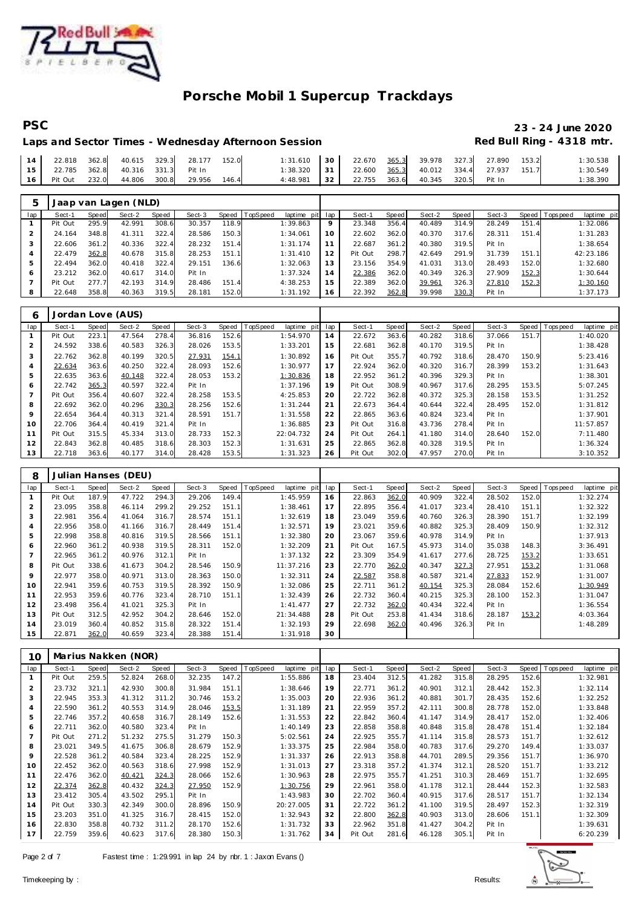

### **PSC 23 - 24 June 2020** Laps and Sector Times - Wednesday Afternoon Session

| 22.818  | 362.8 | 40.615 | 329.3 | 28.177 | 152.0 | : 31.610 | 30 | 22.670 | 365.3 | 39.978 | 327.3 | 27.890 | 153.2 | :30.538   |
|---------|-------|--------|-------|--------|-------|----------|----|--------|-------|--------|-------|--------|-------|-----------|
| 22.785  | 362.8 | 40.316 | 331.3 | Pit In |       | : 38.320 | 31 | 22.600 | 365.3 | 40.012 | 334.4 | 27.937 | 151.7 | ': 30.549 |
| Pit Out | 232.0 | 44.806 | 300.8 | 29.956 | 146.4 | 4:48.981 | 32 | 22.755 | 363.6 | 40.345 | 320.5 | Pit In |       | 38.390    |

| 5   |         |       | Jaap van Lagen (NLD) |       |        |       |          |                 |             |         |       |        |       |        |       |                 |             |
|-----|---------|-------|----------------------|-------|--------|-------|----------|-----------------|-------------|---------|-------|--------|-------|--------|-------|-----------------|-------------|
| lap | Sect-1  | Speed | Sect-2               | Speed | Sect-3 | Speed | TopSpeed | laptime pit lap |             | Sect-1  | Speed | Sect-2 | Speed | Sect-3 |       | Speed Tops peed | laptime pit |
|     | Pit Out | 295.9 | 42.991               | 308.6 | 30.357 | 118.9 |          | 1:39.863        | $\mathsf Q$ | 23.348  | 356.4 | 40.489 | 314.9 | 28.249 | 151.4 |                 | 1:32.086    |
|     | 24.164  | 348.8 | 41.311               | 322.4 | 28.586 | 150.3 |          | 1:34.061        | 10          | 22.602  | 362.0 | 40.370 | 317.6 | 28.311 | 151.4 |                 | 1:31.283    |
|     | 22.606  | 361.2 | 40.336               | 322.4 | 28.232 | 151.4 |          | 1:31.174        |             | 22.687  | 361.2 | 40.380 | 319.5 | Pit In |       |                 | 1:38.654    |
| 4   | 22.479  | 362.8 | 40.678               | 315.8 | 28.253 | 151.1 |          | 1:31.410        | 12          | Pit Out | 298.7 | 42.649 | 291.9 | 31.739 | 151.1 |                 | 42:23.186   |
| 5   | 22.494  | 362.0 | 40.418               | 322.4 | 29.151 | 136.6 |          | 1:32.063        | 13          | 23.156  | 354.9 | 41.031 | 313.0 | 28.493 | 152.0 |                 | 1:32.680    |
| 6   | 23.212  | 362.0 | 40.617               | 314.0 | Pit In |       |          | 1:37.324        | 14          | 22.386  | 362.0 | 40.349 | 326.3 | 27.909 | 152.3 |                 | 1:30.644    |
|     | Pit Out | 277.7 | 42.193               | 314.9 | 28.486 | 151.4 |          | 4:38.253        | 15          | 22.389  | 362.0 | 39.961 | 326.3 | 27.810 | 152.3 |                 | 1:30.160    |
| 8   | 22.648  | 358.8 | 40.363               | 319.5 | 28.181 | 152.0 |          | 1:31.192        | 16          | 22.392  | 362.8 | 39.998 | 330.3 | Pit In |       |                 | 1:37.173    |

| 6              |         |       | Jordan Love (AUS) |       |        |       |                |             |     |         |       |        |       |        |       |                |             |
|----------------|---------|-------|-------------------|-------|--------|-------|----------------|-------------|-----|---------|-------|--------|-------|--------|-------|----------------|-------------|
| lap            | Sect-1  | Speed | Sect-2            | Speed | Sect-3 |       | Speed TopSpeed | laptime pit | lap | Sect-1  | Speed | Sect-2 | Speed | Sect-3 |       | Speed Topspeed | laptime pit |
|                | Pit Out | 223.1 | 47.564            | 278.4 | 36.816 | 152.6 |                | 1:54.970    | 14  | 22.672  | 363.6 | 40.282 | 318.6 | 37.066 | 151.7 |                | 1:40.020    |
| $\overline{2}$ | 24.592  | 338.6 | 40.583            | 326.3 | 28.026 | 153.5 |                | 1:33.201    | 15  | 22.681  | 362.8 | 40.170 | 319.5 | Pit In |       |                | 1:38.428    |
| 3              | 22.762  | 362.8 | 40.199            | 320.5 | 27.931 | 154.1 |                | 1:30.892    | 16  | Pit Out | 355.7 | 40.792 | 318.6 | 28.470 | 150.9 |                | 5:23.416    |
| 4              | 22.634  | 363.6 | 40.250            | 322.4 | 28.093 | 152.6 |                | 1:30.977    | 17  | 22.924  | 362.0 | 40.320 | 316.7 | 28.399 | 153.2 |                | 1:31.643    |
| 5              | 22.635  | 363.6 | 40.148            | 322.4 | 28.053 | 153.2 |                | 1:30.836    | 18  | 22.952  | 361.2 | 40.396 | 329.3 | Pit In |       |                | 1:38.301    |
| 6              | 22.742  | 365.3 | 40.597            | 322.4 | Pit In |       |                | 1:37.196    | 19  | Pit Out | 308.9 | 40.967 | 317.6 | 28.295 | 153.5 |                | 5:07.245    |
|                | Pit Out | 356.4 | 40.607            | 322.4 | 28.258 | 153.5 |                | 4:25.853    | 20  | 22.722  | 362.8 | 40.372 | 325.3 | 28.158 | 153.5 |                | 1:31.252    |
| 8              | 22.692  | 362.0 | 40.296            | 330.3 | 28.256 | 152.6 |                | 1:31.244    | 21  | 22.673  | 364.4 | 40.644 | 322.4 | 28.495 | 152.0 |                | 1:31.812    |
| 9              | 22.654  | 364.4 | 40.313            | 321.4 | 28.591 | 151.7 |                | 1:31.558    | 22  | 22.865  | 363.6 | 40.824 | 323.4 | Pit In |       |                | 1:37.901    |
| 10             | 22.706  | 364.4 | 40.419            | 321.4 | Pit In |       |                | 1:36.885    | 23  | Pit Out | 316.8 | 43.736 | 278.4 | Pit In |       |                | 11:57.857   |
| 11             | Pit Out | 315.5 | 45.334            | 313.0 | 28.733 | 152.3 |                | 22:04.732   | 24  | Pit Out | 264.1 | 41.180 | 314.0 | 28.640 | 152.0 |                | 7:11.480    |
| 12             | 22.843  | 362.8 | 40.485            | 318.6 | 28.303 | 152.3 |                | 1:31.631    | 25  | 22.865  | 362.8 | 40.328 | 319.5 | Pit In |       |                | 1:36.324    |
| 13             | 22.718  | 363.6 | 40.177            | 314.0 | 28.428 | 153.5 |                | 1:31.323    | 26  | Pit Out | 302.0 | 47.957 | 270.0 | Pit In |       |                | 3:10.352    |

| 8              |         |       | Julian Hanses (DEU) |       |        |       |                               |     |         |       |        |       |        |       |                |             |
|----------------|---------|-------|---------------------|-------|--------|-------|-------------------------------|-----|---------|-------|--------|-------|--------|-------|----------------|-------------|
| lap            | Sect-1  | Speed | Sect-2              | Speed | Sect-3 |       | Speed TopSpeed<br>laptime pit | lap | Sect-1  | Speed | Sect-2 | Speed | Sect-3 |       | Speed Topspeed | laptime pit |
|                | Pit Out | 187.9 | 47.722              | 294.3 | 29.206 | 149.4 | 1:45.959                      | 16  | 22.863  | 362.0 | 40.909 | 322.4 | 28.502 | 152.0 |                | 1:32.274    |
| $\overline{2}$ | 23.095  | 358.8 | 46.114              | 299.2 | 29.252 | 151.1 | 1:38.461                      | 17  | 22.895  | 356.4 | 41.017 | 323.4 | 28.410 | 151.1 |                | 1:32.322    |
| 3              | 22.981  | 356.4 | 41.064              | 316.7 | 28.574 | 151.1 | 1:32.619                      | 18  | 23.049  | 359.6 | 40.760 | 326.3 | 28.390 | 151.7 |                | 1:32.199    |
| 4              | 22.956  | 358.0 | 41.166              | 316.7 | 28.449 | 151.4 | 1:32.571                      | 19  | 23.021  | 359.6 | 40.882 | 325.3 | 28.409 | 150.9 |                | 1:32.312    |
| 5              | 22.998  | 358.8 | 40.816              | 319.5 | 28.566 | 151.1 | 1:32.380                      | 20  | 23.067  | 359.6 | 40.978 | 314.9 | Pit In |       |                | 1:37.913    |
| 6              | 22.960  | 361.2 | 40.938              | 319.5 | 28.311 | 152.0 | 1:32.209                      | 21  | Pit Out | 167.5 | 45.973 | 314.0 | 35.038 | 148.3 |                | 3:36.491    |
|                | 22.965  | 361.2 | 40.976              | 312.1 | Pit In |       | 1:37.132                      | 22  | 23.309  | 354.9 | 41.617 | 277.6 | 28.725 | 153.2 |                | 1:33.651    |
| 8              | Pit Out | 338.6 | 41.673              | 304.2 | 28.546 | 150.9 | 11:37.216                     | 23  | 22.770  | 362.0 | 40.347 | 327.3 | 27.951 | 153.2 |                | 1:31.068    |
| 9              | 22.977  | 358.0 | 40.971              | 313.0 | 28.363 | 150.0 | 1:32.311                      | 24  | 22.587  | 358.8 | 40.587 | 321.4 | 27.833 | 152.9 |                | 1:31.007    |
| 10             | 22.941  | 359.6 | 40.753              | 319.5 | 28.392 | 150.9 | 1:32.086                      | 25  | 22.711  | 361.2 | 40.154 | 325.3 | 28.084 | 152.6 |                | 1:30.949    |
| 11             | 22.953  | 359.6 | 40.776              | 323.4 | 28.710 | 151.1 | 1:32.439                      | 26  | 22.732  | 360.4 | 40.215 | 325.3 | 28.100 | 152.3 |                | 1:31.047    |
| 12             | 23.498  | 356.4 | 41.021              | 325.3 | Pit In |       | 1:41.477                      | 27  | 22.732  | 362.0 | 40.434 | 322.4 | Pit In |       |                | 1:36.554    |
| 13             | Pit Out | 312.5 | 42.952              | 304.2 | 28.646 | 152.0 | 21:34.488                     | 28  | Pit Out | 253.8 | 41.434 | 318.6 | 28.187 | 153.2 |                | 4:03.364    |
| 14             | 23.019  | 360.4 | 40.852              | 315.8 | 28.322 | 151.4 | 1:32.193                      | 29  | 22.698  | 362.0 | 40.496 | 326.3 | Pit In |       |                | 1:48.289    |
| 15             | 22.871  | 362.0 | 40.659              | 323.4 | 28.388 | 151.4 | 1:31.918                      | 30  |         |       |        |       |        |       |                |             |

| 10             |         |       | Marius Nakken (NOR) |       |        |       |          |                |     |         |       |        |       |        |       |          |             |
|----------------|---------|-------|---------------------|-------|--------|-------|----------|----------------|-----|---------|-------|--------|-------|--------|-------|----------|-------------|
| lap            | Sect-1  | Speed | Sect-2              | Speed | Sect-3 | Speed | TopSpeed | laptime<br>pit | lap | Sect-1  | Speed | Sect-2 | Speed | Sect-3 | Speed | Topspeed | laptime pit |
|                | Pit Out | 259.5 | 52.824              | 268.0 | 32.235 | 147.2 |          | 1:55.886       | 18  | 23.404  | 312.5 | 41.282 | 315.8 | 28.295 | 152.6 |          | 1:32.981    |
| $\overline{2}$ | 23.732  | 321.1 | 42.930              | 300.8 | 31.984 | 151.1 |          | 1:38.646       | 19  | 22.771  | 361.2 | 40.901 | 312.1 | 28.442 | 152.3 |          | 1:32.114    |
| 3              | 22.945  | 353.3 | 41.312              | 311.2 | 30.746 | 153.2 |          | 1:35.003       | 20  | 22.936  | 361.2 | 40.881 | 301.7 | 28.435 | 152.6 |          | 1:32.252    |
| 4              | 22.590  | 361.2 | 40.553              | 314.9 | 28.046 | 153.5 |          | 1:31.189       | 21  | 22.959  | 357.2 | 42.111 | 300.8 | 28.778 | 152.0 |          | 1:33.848    |
| 5              | 22.746  | 357.2 | 40.658              | 316.7 | 28.149 | 152.6 |          | 1:31.553       | 22  | 22.842  | 360.4 | 41.147 | 314.9 | 28.417 | 152.0 |          | 1:32.406    |
| 6              | 22.711  | 362.0 | 40.580              | 323.4 | Pit In |       |          | 1:40.149       | 23  | 22.858  | 358.8 | 40.848 | 315.8 | 28.478 | 151.4 |          | 1:32.184    |
| $\overline{7}$ | Pit Out | 271.2 | 51.232              | 275.5 | 31.279 | 150.3 |          | 5:02.561       | 24  | 22.925  | 355.7 | 41.114 | 315.8 | 28.573 | 151.7 |          | 1:32.612    |
| 8              | 23.021  | 349.5 | 41.675              | 306.8 | 28.679 | 152.9 |          | 1:33.375       | 25  | 22.984  | 358.0 | 40.783 | 317.6 | 29.270 | 149.4 |          | 1:33.037    |
| 9              | 22.528  | 361.2 | 40.584              | 323.4 | 28.225 | 152.9 |          | 1:31.337       | 26  | 22.913  | 358.8 | 44.701 | 289.5 | 29.356 | 151.7 |          | 1:36.970    |
| 10             | 22.452  | 362.0 | 40.563              | 318.6 | 27.998 | 152.9 |          | 1:31.013       | 27  | 23.318  | 357.2 | 41.374 | 312.1 | 28.520 | 151.7 |          | 1:33.212    |
| 11             | 22.476  | 362.0 | 40.421              | 324.3 | 28.066 | 152.6 |          | 1:30.963       | 28  | 22.975  | 355.7 | 41.251 | 310.3 | 28.469 | 151.7 |          | 1:32.695    |
| 12             | 22.374  | 362.8 | 40.432              | 324.3 | 27.950 | 152.9 |          | 1:30.756       | 29  | 22.961  | 358.0 | 41.178 | 312.1 | 28.444 | 152.3 |          | 1:32.583    |
| 13             | 23.412  | 305.4 | 43.502              | 295.1 | Pit In |       |          | 1:43.983       | 30  | 22.702  | 360.4 | 40.915 | 317.6 | 28.517 | 151.7 |          | 1:32.134    |
| 14             | Pit Out | 330.3 | 42.349              | 300.0 | 28.896 | 150.9 |          | 20:27.005      | 31  | 22.722  | 361.2 | 41.100 | 319.5 | 28.497 | 152.3 |          | 1:32.319    |
| 15             | 23.203  | 351.0 | 41.325              | 316.7 | 28.415 | 152.0 |          | 1:32.943       | 32  | 22.800  | 362.8 | 40.903 | 313.0 | 28.606 | 151.1 |          | 1:32.309    |
| 16             | 22.830  | 358.8 | 40.732              | 311.2 | 28.170 | 152.6 |          | 1:31.732       | 33  | 22.962  | 351.8 | 41.427 | 304.2 | Pit In |       |          | 1:39.631    |
| 17             | 22.759  | 359.6 | 40.623              | 317.6 | 28.380 | 150.3 |          | 1:31.762       | 34  | Pit Out | 281.6 | 46.128 | 305.1 | Pit In |       |          | 6:20.239    |

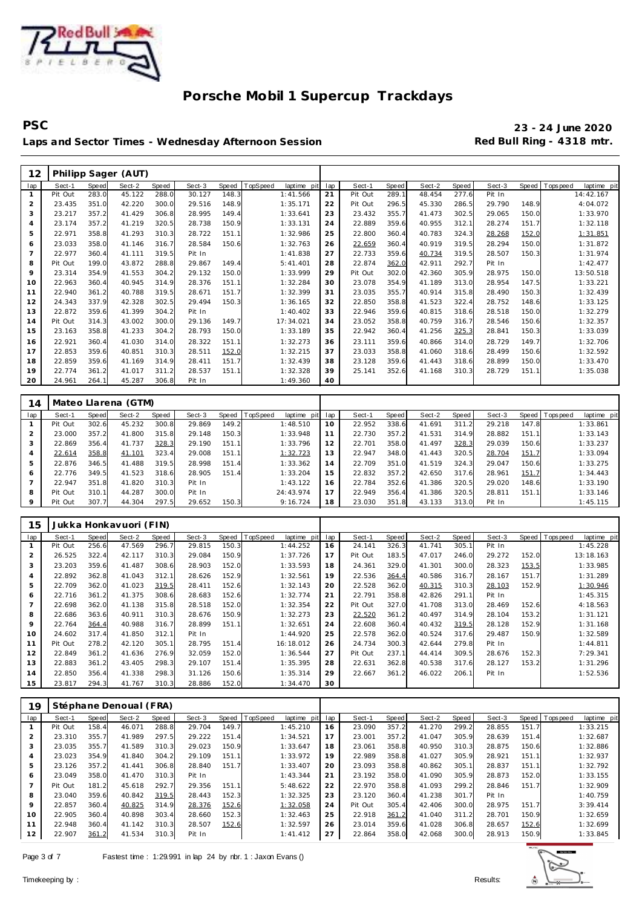

**PSC 23 - 24 June 2020** Laps and Sector Times - Wednesday Afternoon Session **Red Bull Ring - 4318 mtr.** 

| 12             |         |              | Philipp Sager (AUT) |       |        |       |          |             |     |         |       |        |       |        |       |                               |
|----------------|---------|--------------|---------------------|-------|--------|-------|----------|-------------|-----|---------|-------|--------|-------|--------|-------|-------------------------------|
| lap            | Sect-1  | <b>Speed</b> | Sect-2              | Speed | Sect-3 | Speed | TopSpeed | laptime pit | lap | Sect-1  | Speed | Sect-2 | Speed | Sect-3 |       | Speed Topspeed<br>laptime pit |
| $\mathbf{1}$   | Pit Out | 283.0        | 45.122              | 288.0 | 30.127 | 148.3 |          | 1:41.566    | 21  | Pit Out | 289.1 | 48.454 | 277.6 | Pit In |       | 14:42.167                     |
| $\overline{2}$ | 23.435  | 351.0        | 42.220              | 300.0 | 29.516 | 148.9 |          | 1:35.171    | 22  | Pit Out | 296.5 | 45.330 | 286.5 | 29.790 | 148.9 | 4:04.072                      |
| 3              | 23.217  | 357.2        | 41.429              | 306.8 | 28.995 | 149.4 |          | 1:33.641    | 23  | 23.432  | 355.7 | 41.473 | 302.5 | 29.065 | 150.0 | 1:33.970                      |
| $\overline{4}$ | 23.174  | 357.2        | 41.219              | 320.5 | 28.738 | 150.9 |          | 1:33.131    | 24  | 22.889  | 359.6 | 40.955 | 312.1 | 28.274 | 151.7 | 1:32.118                      |
| 5              | 22.971  | 358.8        | 41.293              | 310.3 | 28.722 | 151.1 |          | 1:32.986    | 25  | 22.800  | 360.4 | 40.783 | 324.3 | 28.268 | 152.0 | 1:31.851                      |
| 6              | 23.033  | 358.0        | 41.146              | 316.7 | 28.584 | 150.6 |          | 1:32.763    | 26  | 22.659  | 360.4 | 40.919 | 319.5 | 28.294 | 150.0 | 1:31.872                      |
| 7              | 22.977  | 360.4        | 41.111              | 319.5 | Pit In |       |          | 1:41.838    | 27  | 22.733  | 359.6 | 40.734 | 319.5 | 28.507 | 150.3 | 1:31.974                      |
| 8              | Pit Out | 199.0        | 43.872              | 288.8 | 29.867 | 149.4 |          | 5:41.401    | 28  | 22.874  | 362.0 | 42.911 | 292.7 | Pit In |       | 1:42.477                      |
| 9              | 23.314  | 354.9        | 41.553              | 304.2 | 29.132 | 150.0 |          | 1:33.999    | 29  | Pit Out | 302.0 | 42.360 | 305.9 | 28.975 | 150.0 | 13:50.518                     |
| 10             | 22.963  | 360.4        | 40.945              | 314.9 | 28.376 | 151.1 |          | 1:32.284    | 30  | 23.078  | 354.9 | 41.189 | 313.0 | 28.954 | 147.5 | 1:33.221                      |
| 11             | 22.940  | 361.2        | 40.788              | 319.5 | 28.671 | 151.7 |          | 1:32.399    | 31  | 23.035  | 355.7 | 40.914 | 315.8 | 28.490 | 150.3 | 1:32.439                      |
| 12             | 24.343  | 337.9        | 42.328              | 302.5 | 29.494 | 150.3 |          | 1:36.165    | 32  | 22.850  | 358.8 | 41.523 | 322.4 | 28.752 | 148.6 | 1:33.125                      |
| 13             | 22.872  | 359.6        | 41.399              | 304.2 | Pit In |       |          | 1:40.402    | 33  | 22.946  | 359.6 | 40.815 | 318.6 | 28.518 | 150.0 | 1:32.279                      |
| 14             | Pit Out | 314.3        | 43.002              | 300.0 | 29.136 | 149.7 |          | 17:34.021   | 34  | 23.052  | 358.8 | 40.759 | 316.7 | 28.546 | 150.6 | 1:32.357                      |
| 15             | 23.163  | 358.8        | 41.233              | 304.2 | 28.793 | 150.0 |          | 1:33.189    | 35  | 22.942  | 360.4 | 41.256 | 325.3 | 28.841 | 150.3 | 1:33.039                      |
| 16             | 22.921  | 360.4        | 41.030              | 314.0 | 28.322 | 151.1 |          | 1:32.273    | 36  | 23.111  | 359.6 | 40.866 | 314.0 | 28.729 | 149.7 | 1:32.706                      |
| 17             | 22.853  | 359.6        | 40.851              | 310.3 | 28.511 | 152.0 |          | 1:32.215    | 37  | 23.033  | 358.8 | 41.060 | 318.6 | 28.499 | 150.6 | 1:32.592                      |
| 18             | 22.859  | 359.6        | 41.169              | 314.9 | 28.411 | 151.7 |          | 1:32.439    | 38  | 23.128  | 359.6 | 41.443 | 318.6 | 28.899 | 150.0 | 1:33.470                      |
| 19             | 22.774  | 361.2        | 41.017              | 311.2 | 28.537 | 151.1 |          | 1:32.328    | 39  | 25.141  | 352.6 | 41.168 | 310.3 | 28.729 | 151.1 | 1:35.038                      |
| 20             | 24.961  | 264.1        | 45.287              | 306.8 | Pit In |       |          | 1:49.360    | 40  |         |       |        |       |        |       |                               |

| 14  |         |       | Mateo Llarena (GTM) |       |        |       |          |             |     |        |       |        |       |        |       |                 |             |
|-----|---------|-------|---------------------|-------|--------|-------|----------|-------------|-----|--------|-------|--------|-------|--------|-------|-----------------|-------------|
| lap | Sect-1  | Speed | Sect-2              | Speed | Sect-3 | Speed | TopSpeed | laptime pit | lap | Sect-1 | Speed | Sect-2 | Speed | Sect-3 |       | Speed Tops peed | laptime pit |
|     | Pit Out | 302.6 | 45.232              | 300.8 | 29.869 | 149.2 |          | 1:48.510    | 10  | 22.952 | 338.6 | 41.691 | 311.2 | 29.218 | 147.8 |                 | 1:33.861    |
|     | 23.000  | 357.2 | 41.800              | 315.8 | 29.148 | 150.3 |          | 1:33.948    | 11  | 22.730 | 357.2 | 41.531 | 314.9 | 28.882 | 151.1 |                 | 1:33.143    |
| 3   | 22.869  | 356.4 | 41.737              | 328.3 | 29.190 | 151.1 |          | 1:33.796    | 12  | 22.701 | 358.0 | 41.497 | 328.3 | 29.039 | 150.6 |                 | 1:33.237    |
| 4   | 22.614  | 358.8 | 41.101              | 323.4 | 29.008 | 151.1 |          | 1:32.723    | 13  | 22.947 | 348.0 | 41.443 | 320.5 | 28.704 | 151.7 |                 | 1:33.094    |
| 5   | 22.876  | 346.5 | 41.488              | 319.5 | 28.998 | 151.4 |          | 1:33.362    | 14  | 22.709 | 351.0 | 41.519 | 324.3 | 29.047 | 150.6 |                 | 1:33.275    |
| 6   | 22.776  | 349.5 | 41.523              | 318.6 | 28.905 | 151.4 |          | 1:33.204    | 15  | 22.832 | 357.2 | 42.650 | 317.6 | 28.961 | 151.7 |                 | 1:34.443    |
|     | 22.947  | 351.8 | 41.820              | 310.3 | Pit In |       |          | 1:43.122    | 16  | 22.784 | 352.6 | 41.386 | 320.5 | 29.020 | 148.6 |                 | 1:33.190    |
| 8   | Pit Out | 310.1 | 44.287              | 300.0 | Pit In |       |          | 24:43.974   | 17  | 22.949 | 356.4 | 41.386 | 320.5 | 28.811 | 151.1 |                 | 1:33.146    |
| 9   | Pit Out | 307.7 | 44.304              | 297.5 | 29.652 | 150.3 |          | 9:16.724    | 18  | 23.030 | 351.8 | 43.133 | 313.0 | Pit In |       |                 | 1:45.115    |

| 15             |         |       | Jukka Honkavuori (FIN) |       |        |       |                 |             |     |         |       |        |       |        |       |                            |
|----------------|---------|-------|------------------------|-------|--------|-------|-----------------|-------------|-----|---------|-------|--------|-------|--------|-------|----------------------------|
| lap            | Sect-1  | Speed | Sect-2                 | Speed | Sect-3 | Speed | <b>TopSpeed</b> | laptime pit | lap | Sect-1  | Speed | Sect-2 | Speed | Sect-3 | Speed | T ops pee d<br>laptime pit |
|                | Pit Out | 256.6 | 47.569                 | 296.7 | 29.815 | 150.3 |                 | 1:44.252    | 16  | 24.141  | 326.3 | 41.741 | 305.1 | Pit In |       | 1:45.228                   |
| $\overline{2}$ | 26.525  | 322.4 | 42.117                 | 310.3 | 29.084 | 150.9 |                 | 1:37.726    | 17  | Pit Out | 183.5 | 47.017 | 246.0 | 29.272 | 152.0 | 13:18.163                  |
| 3              | 23.203  | 359.6 | 41.487                 | 308.6 | 28.903 | 152.0 |                 | 1:33.593    | 18  | 24.361  | 329.0 | 41.301 | 300.0 | 28.323 | 153.5 | 1:33.985                   |
| $\overline{4}$ | 22.892  | 362.8 | 41.043                 | 312.1 | 28.626 | 152.9 |                 | 1:32.561    | 19  | 22.536  | 364.4 | 40.586 | 316.7 | 28.167 | 151.7 | 1:31.289                   |
| 5              | 22.709  | 362.0 | 41.023                 | 319.5 | 28.411 | 152.6 |                 | 1:32.143    | 20  | 22.528  | 362.0 | 40.315 | 310.3 | 28.103 | 152.9 | 1:30.946                   |
| 6              | 22.716  | 361.2 | 41.375                 | 308.6 | 28.683 | 152.6 |                 | 1:32.774    | 21  | 22.791  | 358.8 | 42.826 | 291.1 | Pit In |       | 1:45.315                   |
|                | 22.698  | 362.0 | 41.138                 | 315.8 | 28.518 | 152.0 |                 | 1:32.354    | 22  | Pit Out | 327.0 | 41.708 | 313.0 | 28.469 | 152.6 | 4:18.563                   |
| 8              | 22.686  | 363.6 | 40.911                 | 310.3 | 28.676 | 150.9 |                 | 1:32.273    | 23  | 22.520  | 361.2 | 40.497 | 314.9 | 28.104 | 153.2 | 1:31.121                   |
| 9              | 22.764  | 364.4 | 40.988                 | 316.7 | 28.899 | 151.1 |                 | 1:32.651    | 24  | 22.608  | 360.4 | 40.432 | 319.5 | 28.128 | 152.9 | 1:31.168                   |
| 10             | 24.602  | 317.4 | 41.850                 | 312.1 | Pit In |       |                 | 1:44.920    | 25  | 22.578  | 362.0 | 40.524 | 317.6 | 29.487 | 150.9 | 1:32.589                   |
| 11             | Pit Out | 278.2 | 42.120                 | 305.1 | 28.795 | 151.4 |                 | 16:18.012   | 26  | 24.734  | 300.3 | 42.644 | 279.8 | Pit In |       | 1:44.811                   |
| 12             | 22.849  | 361.2 | 41.636                 | 276.9 | 32.059 | 152.0 |                 | 1:36.544    | 27  | Pit Out | 237.1 | 44.414 | 309.5 | 28.676 | 152.3 | 7:29.341                   |
| 13             | 22.883  | 361.2 | 43.405                 | 298.3 | 29.107 | 151.4 |                 | 1:35.395    | 28  | 22.631  | 362.8 | 40.538 | 317.6 | 28.127 | 153.2 | 1:31.296                   |
| 14             | 22.850  | 356.4 | 41.338                 | 298.3 | 31.126 | 150.6 |                 | 1:35.314    | 29  | 22.667  | 361.2 | 46.022 | 206.1 | Pit In |       | 1:52.536                   |
| 15             | 23.817  | 294.3 | 41.767                 | 310.3 | 28.886 | 152.0 |                 | 1:34.470    | 30  |         |       |        |       |        |       |                            |

| 19             |         |       | Stéphane Denoual (FRA) |       |        |       |          |                |     |         |       |        |       |        |       |                |             |
|----------------|---------|-------|------------------------|-------|--------|-------|----------|----------------|-----|---------|-------|--------|-------|--------|-------|----------------|-------------|
| lap            | Sect-1  | Speed | Sect-2                 | Speed | Sect-3 | Speed | TopSpeed | laptime<br>pit | lap | Sect-1  | Speed | Sect-2 | Speed | Sect-3 |       | Speed Topspeed | laptime pit |
|                | Pit Out | 158.4 | 46.071                 | 288.8 | 29.704 | 149.7 |          | 1:45.210       | 16  | 23.090  | 357.2 | 41.270 | 299.2 | 28.855 | 151.7 |                | 1:33.215    |
| $\overline{2}$ | 23.310  | 355.7 | 41.989                 | 297.5 | 29.222 | 151.4 |          | 1:34.521       | 17  | 23.001  | 357.2 | 41.047 | 305.9 | 28.639 | 151.4 |                | 1:32.687    |
| 3              | 23.035  | 355.7 | 41.589                 | 310.3 | 29.023 | 150.9 |          | 1:33.647       | 18  | 23.061  | 358.8 | 40.950 | 310.3 | 28.875 | 150.6 |                | 1:32.886    |
| $\overline{4}$ | 23.023  | 354.9 | 41.840                 | 304.2 | 29.109 | 151.1 |          | 1:33.972       | 19  | 22.989  | 358.8 | 41.027 | 305.9 | 28.921 | 151.1 |                | 1:32.937    |
| 5              | 23.126  | 357.2 | 41.441                 | 306.8 | 28.840 | 151.7 |          | 1:33.407       | 20  | 23.093  | 358.8 | 40.862 | 305.1 | 28.837 | 151.1 |                | 1:32.792    |
| 6              | 23.049  | 358.0 | 41.470                 | 310.3 | Pit In |       |          | 1:43.344       | 21  | 23.192  | 358.0 | 41.090 | 305.9 | 28.873 | 152.0 |                | 1:33.155    |
| 7              | Pit Out | 181.2 | 45.618                 | 292.7 | 29.356 | 151.1 |          | 5:48.622       | 22  | 22.970  | 358.8 | 41.093 | 299.2 | 28.846 | 151.7 |                | 1:32.909    |
| 8              | 23.040  | 359.6 | 40.842                 | 319.5 | 28.443 | 152.3 |          | 1:32.325       | 23  | 23.120  | 360.4 | 41.238 | 301.7 | Pit In |       |                | 1:40.759    |
| 9              | 22.857  | 360.4 | 40.825                 | 314.9 | 28.376 | 152.6 |          | 1:32.058       | 24  | Pit Out | 305.4 | 42.406 | 300.0 | 28.975 | 151.7 |                | 3:39.414    |
| 10             | 22.905  | 360.4 | 40.898                 | 303.4 | 28.660 | 152.3 |          | 1:32.463       | 25  | 22.918  | 361.2 | 41.040 | 311.2 | 28.701 | 150.9 |                | 1:32.659    |
| 11             | 22.948  | 360.4 | 41.142                 | 310.3 | 28.507 | 152.6 |          | 1:32.597       | 26  | 23.014  | 359.6 | 41.028 | 306.8 | 28.657 | 152.6 |                | 1:32.699    |
| 12             | 22.907  | 361.2 | 41.534                 | 310.3 | Pit In |       |          | 1: 41.412      | 27  | 22.864  | 358.0 | 42.068 | 300.0 | 28.913 | 150.9 |                | 1:33.845    |

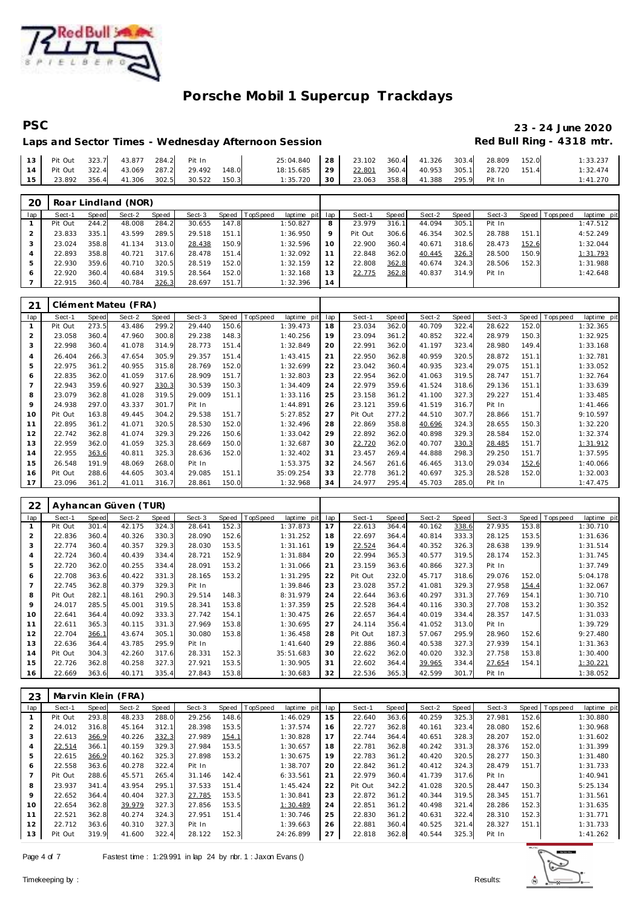

# **PSC 23 - 24 June 2020**

### Laps and Sector Times - Wednesday Afternoon Session **Red Bull Ring - 4318 mtr.**

| 13 <sup>1</sup> | Pit Out       | 323.7 43.877 284.2 Pit In       |                     |       | 25:04.840 28 23.102 360.4 41.326 303.4 28.809 |  |                                  |  | 152.0 | 1:33.237 |
|-----------------|---------------|---------------------------------|---------------------|-------|-----------------------------------------------|--|----------------------------------|--|-------|----------|
| 14              | Pit Out 322.4 |                                 | 43.069 287.2 29.492 | 148.0 | 18:15.685 29                                  |  | 22.801 360.4 40.953 305.1 28.720 |  | 151.4 | 1:32.474 |
| 15              | 23.892        | 356.4 41.306 302.5 30.522 150.3 |                     |       | $1:35.720$ 30                                 |  | 23.063 358.8 41.388 295.9 Pit In |  |       | 1:41.270 |

| 20  |         |       | Roar Lindland (NOR) |       |        |       |                |                 |         |         |       |        |       |        |       |                 |             |
|-----|---------|-------|---------------------|-------|--------|-------|----------------|-----------------|---------|---------|-------|--------|-------|--------|-------|-----------------|-------------|
| lap | Sect-1  | Speed | Sect-2              | Speed | Sect-3 |       | Speed TopSpeed | laptime pit lap |         | Sect-1  | Speed | Sect-2 | Speed | Sect-3 |       | Speed Tops peed | laptime pit |
|     | Pit Out | 244.2 | 48.008              | 284.2 | 30.655 | 147.8 |                | 1:50.827        | 8       | 23.979  | 316.1 | 44.094 | 305.1 | Pit In |       |                 | 1:47.512    |
|     | 23.833  | 335.1 | 43.599              | 289.5 | 29.518 | 151.1 |                | 1:36.950        | $\circ$ | Pit Out | 306.6 | 46.354 | 302.5 | 28.788 | 151.1 |                 | 4:52.249    |
|     | 23.024  | 358.8 | 41.134              | 313.0 | 28.438 | 150.9 |                | 1:32.596        | 10      | 22.900  | 360.4 | 40.671 | 318.6 | 28.473 | 152.6 |                 | 1:32.044    |
|     | 22.893  | 358.8 | 40.721              | 317.6 | 28.478 | 151.4 |                | 1:32.092        |         | 22.848  | 362.0 | 40.445 | 326.3 | 28.500 | 150.9 |                 | 1:31.793    |
|     | 22.930  | 359.6 | 40.710              | 320.5 | 28.519 | 152.0 |                | 1:32.159        |         | 22.808  | 362.8 | 40.674 | 324.3 | 28.506 | 152.3 |                 | 1:31.988    |
|     | 22.920  | 360.4 | 40.684              | 319.5 | 28.564 | 152.0 |                | 1:32.168        |         | 22.775  | 362.8 | 40.837 | 314.9 | Pit In |       |                 | 1:42.648    |
|     | 22.915  | 360.4 | 40.784              | 326.3 | 28.697 | 151.7 |                | 1:32.396        | 14      |         |       |        |       |        |       |                 |             |

| 21  |         |       | Clément Mateu (FRA) |       |        |       |          |             |     |         |       |        |       |        |       |            |             |
|-----|---------|-------|---------------------|-------|--------|-------|----------|-------------|-----|---------|-------|--------|-------|--------|-------|------------|-------------|
| lap | Sect-1  | Speed | Sect-2              | Speed | Sect-3 | Speed | TopSpeed | laptime pit | lap | Sect-1  | Speed | Sect-2 | Speed | Sect-3 | Speed | T ops peed | laptime pit |
|     | Pit Out | 273.5 | 43.486              | 299.2 | 29.440 | 150.6 |          | 1:39.473    | 18  | 23.034  | 362.0 | 40.709 | 322.4 | 28.622 | 152.0 |            | 1:32.365    |
| 2   | 23.058  | 360.4 | 47.960              | 300.8 | 29.238 | 148.3 |          | 1:40.256    | 19  | 23.094  | 361.2 | 40.852 | 322.4 | 28.979 | 150.3 |            | 1:32.925    |
| 3   | 22.998  | 360.4 | 41.078              | 314.9 | 28.773 | 151.4 |          | 1:32.849    | 20  | 22.991  | 362.0 | 41.197 | 323.4 | 28.980 | 149.4 |            | 1:33.168    |
| 4   | 26.404  | 266.3 | 47.654              | 305.9 | 29.357 | 151.4 |          | 1:43.415    | 21  | 22.950  | 362.8 | 40.959 | 320.5 | 28.872 | 151.1 |            | 1:32.781    |
| 5   | 22.975  | 361.2 | 40.955              | 315.8 | 28.769 | 152.0 |          | 1:32.699    | 22  | 23.042  | 360.4 | 40.935 | 323.4 | 29.075 | 151.1 |            | 1:33.052    |
| 6   | 22.835  | 362.0 | 41.059              | 317.6 | 28.909 | 151.7 |          | 1:32.803    | 23  | 22.954  | 362.0 | 41.063 | 319.5 | 28.747 | 151.7 |            | 1:32.764    |
|     | 22.943  | 359.6 | 40.927              | 330.3 | 30.539 | 150.3 |          | 1:34.409    | 24  | 22.979  | 359.6 | 41.524 | 318.6 | 29.136 | 151.1 |            | 1:33.639    |
| 8   | 23.079  | 362.8 | 41.028              | 319.5 | 29.009 | 151.1 |          | 1:33.116    | 25  | 23.158  | 361.2 | 41.100 | 327.3 | 29.227 | 151.4 |            | 1:33.485    |
| 9   | 24.938  | 297.0 | 43.337              | 301.7 | Pit In |       |          | 1:44.891    | 26  | 23.121  | 359.6 | 41.519 | 316.7 | Pit In |       |            | 1:41.466    |
| 10  | Pit Out | 163.8 | 49.445              | 304.2 | 29.538 | 151.7 |          | 5:27.852    | 27  | Pit Out | 277.2 | 44.510 | 307.7 | 28.866 | 151.7 |            | 9:10.597    |
| 11  | 22.895  | 361.2 | 41.071              | 320.5 | 28.530 | 152.0 |          | 1:32.496    | 28  | 22.869  | 358.8 | 40.696 | 324.3 | 28.655 | 150.3 |            | 1:32.220    |
| 12  | 22.742  | 362.8 | 41.074              | 329.3 | 29.226 | 150.6 |          | 1:33.042    | 29  | 22.892  | 362.0 | 40.898 | 329.3 | 28.584 | 152.0 |            | 1:32.374    |
| 13  | 22.959  | 362.0 | 41.059              | 325.3 | 28.669 | 150.0 |          | 1:32.687    | 30  | 22.720  | 362.0 | 40.707 | 330.3 | 28.485 | 151.7 |            | 1:31.912    |
| 14  | 22.955  | 363.6 | 40.811              | 325.3 | 28.636 | 152.0 |          | 1:32.402    | 31  | 23.457  | 269.4 | 44.888 | 298.3 | 29.250 | 151.7 |            | 1:37.595    |
| 15  | 26.548  | 191.9 | 48.069              | 268.0 | Pit In |       |          | 1:53.375    | 32  | 24.567  | 261.6 | 46.465 | 313.0 | 29.034 | 152.6 |            | 1:40.066    |
| 16  | Pit Out | 288.6 | 44.605              | 303.4 | 29.085 | 151.1 |          | 35:09.254   | 33  | 22.778  | 361.2 | 40.697 | 325.3 | 28.528 | 152.0 |            | 1:32.003    |
| 17  | 23.096  | 361.2 | 41.011              | 316.7 | 28.861 | 150.0 |          | 1:32.968    | 34  | 24.977  | 295.4 | 45.703 | 285.0 | Pit In |       |            | 1:47.475    |

| 22  |         |       | Ayhancan Güven (TUR) |       |        |       |          |             |     |         |       |        |       |        |       |            |             |
|-----|---------|-------|----------------------|-------|--------|-------|----------|-------------|-----|---------|-------|--------|-------|--------|-------|------------|-------------|
| lap | Sect-1  | Speed | Sect-2               | Speed | Sect-3 | Speed | TopSpeed | laptime pit | lap | Sect-1  | Speed | Sect-2 | Speed | Sect-3 | Speed | T ops peed | laptime pit |
|     | Pit Out | 301.4 | 42.175               | 324.3 | 28.641 | 152.3 |          | 1:37.873    | 17  | 22.613  | 364.4 | 40.162 | 338.6 | 27.935 | 153.8 |            | 1:30.710    |
| 2   | 22.836  | 360.4 | 40.326               | 330.3 | 28.090 | 152.6 |          | 1:31.252    | 18  | 22.697  | 364.4 | 40.814 | 333.3 | 28.125 | 153.5 |            | 1:31.636    |
| 3   | 22.774  | 360.4 | 40.357               | 329.3 | 28.030 | 153.5 |          | 1:31.161    | 19  | 22.524  | 364.4 | 40.352 | 326.3 | 28.638 | 139.9 |            | 1:31.514    |
| 4   | 22.724  | 360.4 | 40.439               | 334.4 | 28.721 | 152.9 |          | 1:31.884    | 20  | 22.994  | 365.3 | 40.577 | 319.5 | 28.174 | 152.3 |            | 1:31.745    |
| 5   | 22.720  | 362.0 | 40.255               | 334.4 | 28.091 | 153.2 |          | 1:31.066    | 21  | 23.159  | 363.6 | 40.866 | 327.3 | Pit In |       |            | 1:37.749    |
| 6   | 22.708  | 363.6 | 40.422               | 331.3 | 28.165 | 153.2 |          | 1:31.295    | 22  | Pit Out | 232.0 | 45.717 | 318.6 | 29.076 | 152.0 |            | 5:04.178    |
|     | 22.745  | 362.8 | 40.379               | 329.3 | Pit In |       |          | 1:39.846    | 23  | 23.028  | 357.2 | 41.081 | 329.3 | 27.958 | 154.4 |            | 1:32.067    |
| 8   | Pit Out | 282.1 | 48.161               | 290.3 | 29.514 | 148.3 |          | 8:31.979    | 24  | 22.644  | 363.6 | 40.297 | 331.3 | 27.769 | 154.1 |            | 1:30.710    |
| 9   | 24.017  | 285.5 | 45.001               | 319.5 | 28.341 | 153.8 |          | 1:37.359    | 25  | 22.528  | 364.4 | 40.116 | 330.3 | 27.708 | 153.2 |            | 1:30.352    |
| 10  | 22.641  | 364.4 | 40.092               | 333.3 | 27.742 | 154.1 |          | 1:30.475    | 26  | 22.657  | 364.4 | 40.019 | 334.4 | 28.357 | 147.5 |            | 1:31.033    |
| 11  | 22.611  | 365.3 | 40.115               | 331.3 | 27.969 | 153.8 |          | 1:30.695    | 27  | 24.114  | 356.4 | 41.052 | 313.0 | Pit In |       |            | 1:39.729    |
| 12  | 22.704  | 366.1 | 43.674               | 305.1 | 30.080 | 153.8 |          | 1:36.458    | 28  | Pit Out | 187.3 | 57.067 | 295.9 | 28.960 | 152.6 |            | 9:27.480    |
| 13  | 22.636  | 364.4 | 43.785               | 295.9 | Pit In |       |          | 1:41.640    | 29  | 22.886  | 360.4 | 40.538 | 327.3 | 27.939 | 154.1 |            | 1:31.363    |
| 14  | Pit Out | 304.3 | 42.260               | 317.6 | 28.331 | 152.3 |          | 35:51.683   | 30  | 22.622  | 362.0 | 40.020 | 332.3 | 27.758 | 153.8 |            | 1:30.400    |
| 15  | 22.726  | 362.8 | 40.258               | 327.3 | 27.921 | 153.5 |          | 1:30.905    | 31  | 22.602  | 364.4 | 39.965 | 334.4 | 27.654 | 154.1 |            | 1:30.221    |
| 16  | 22.669  | 363.6 | 40.171               | 335.4 | 27.843 | 153.8 |          | 1:30.683    | 32  | 22.536  | 365.3 | 42.599 | 301.7 | Pit In |       |            | 1:38.052    |

| 23  |         |       | Marvin Klein (FRA) |       |        |       |          |             |     |         |       |        |       |        |       |            |             |
|-----|---------|-------|--------------------|-------|--------|-------|----------|-------------|-----|---------|-------|--------|-------|--------|-------|------------|-------------|
| lap | Sect-1  | Speed | Sect-2             | Speed | Sect-3 | Speed | TopSpeed | laptime pit | lap | Sect-1  | Speed | Sect-2 | Speed | Sect-3 | Speed | T ops peed | laptime pit |
|     | Pit Out | 293.8 | 48.233             | 288.0 | 29.256 | 148.6 |          | 1:46.029    | 15  | 22.640  | 363.6 | 40.259 | 325.3 | 27.981 | 152.6 |            | 1:30.880    |
| 2   | 24.012  | 316.8 | 45.164             | 312.1 | 28.398 | 153.5 |          | 1:37.574    | 16  | 22.727  | 362.8 | 40.161 | 323.4 | 28.080 | 152.6 |            | 1:30.968    |
| 3   | 22.613  | 366.9 | 40.226             | 332.3 | 27.989 | 154.1 |          | 1:30.828    | 17  | 22.744  | 364.4 | 40.651 | 328.3 | 28.207 | 152.0 |            | 1:31.602    |
| 4   | 22.514  | 366.1 | 40.159             | 329.3 | 27.984 | 153.5 |          | 1:30.657    | 18  | 22.781  | 362.8 | 40.242 | 331.3 | 28.376 | 152.0 |            | 1:31.399    |
| 5   | 22.615  | 366.9 | 40.162             | 325.3 | 27.898 | 153.2 |          | 1:30.675    | 19  | 22.783  | 361.2 | 40.420 | 320.5 | 28.277 | 150.3 |            | 1:31.480    |
| 6   | 22.558  | 363.6 | 40.278             | 322.4 | Pit In |       |          | 1:38.707    | 20  | 22.842  | 361.2 | 40.412 | 324.3 | 28.479 | 151.7 |            | 1:31.733    |
|     | Pit Out | 288.6 | 45.571             | 265.4 | 31.146 | 142.4 |          | 6:33.561    | 21  | 22.979  | 360.4 | 41.739 | 317.6 | Pit In |       |            | 1:40.941    |
| 8   | 23.937  | 341.4 | 43.954             | 295.1 | 37.533 | 151.4 |          | 1:45.424    | 22  | Pit Out | 342.2 | 41.028 | 320.5 | 28.447 | 150.3 |            | 5:25.134    |
| 9   | 22.652  | 364.4 | 40.404             | 327.3 | 27.785 | 153.5 |          | 1:30.841    | 23  | 22.872  | 361.2 | 40.344 | 319.5 | 28.345 | 151.7 |            | 1:31.561    |
| 10  | 22.654  | 362.8 | 39.979             | 327.3 | 27.856 | 153.5 |          | 1:30.489    | 24  | 22.851  | 361.2 | 40.498 | 321.4 | 28.286 | 152.3 |            | 1:31.635    |
| 11  | 22.521  | 362.8 | 40.274             | 324.3 | 27.951 | 151.4 |          | 1:30.746    | 25  | 22.830  | 361.2 | 40.631 | 322.4 | 28.310 | 152.3 |            | 1:31.771    |
| 12  | 22.712  | 363.6 | 40.310             | 327.3 | Pit In |       |          | 1:39.663    | 26  | 22.881  | 360.4 | 40.525 | 321.4 | 28.327 | 151.1 |            | 1:31.733    |
| 13  | Pit Out | 319.9 | 41.600             | 322.4 | 28.122 | 152.3 |          | 24:26.899   | 27  | 22.818  | 362.8 | 40.544 | 325.3 | Pit In |       |            | 1:41.262    |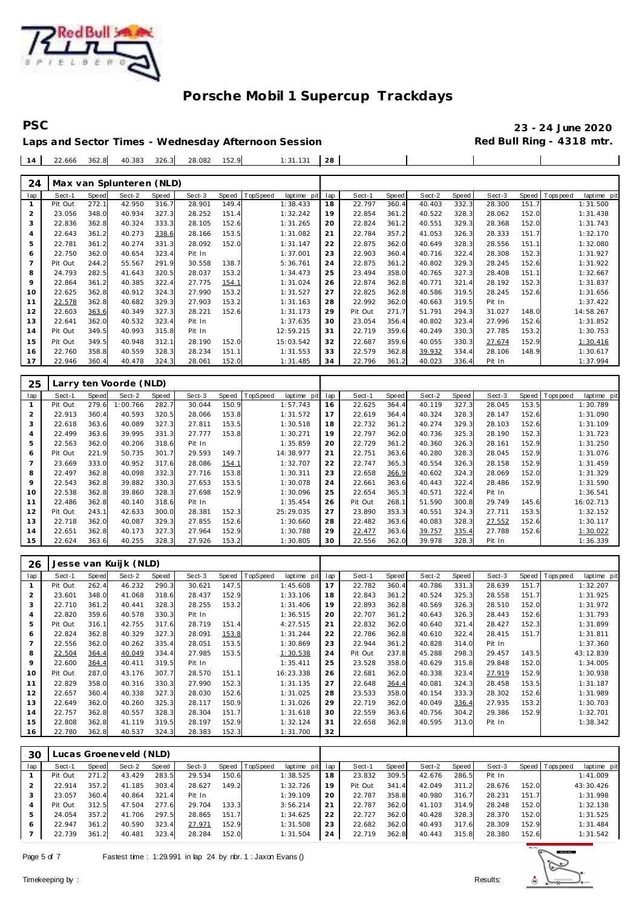

#### **PSC 23 - 24 June 2020** Red Bull Ring - 4318 mtr.

 $\overline{\phantom{a}}$ 

 $\overline{\phantom{a}}$ 

|  |                                             |  |  | Laps and Sector Times - Wednesday Afternoon Session |  |
|--|---------------------------------------------|--|--|-----------------------------------------------------|--|
|  | $14$ 22.666 362.8 40.383 326.3 28.082 152.9 |  |  | $1:31.131$ 28                                       |  |

| 24             |         |              | Max van Splunteren (NLD) |       |        |       |           |             |     |         |       |        |       |        |       |          |             |
|----------------|---------|--------------|--------------------------|-------|--------|-------|-----------|-------------|-----|---------|-------|--------|-------|--------|-------|----------|-------------|
| lap            | Sect-1  | <b>Speed</b> | Sect-2                   | Speed | Sect-3 | Speed | opSpeed   | laptime pit | lap | Sect-1  | Speed | Sect-2 | Speed | Sect-3 | Speed | Topspeed | laptime pit |
|                | Pit Out | 272.1        | 42.950                   | 316.7 | 28.901 | 149.4 | 1:38.433  |             | 18  | 22.797  | 360.4 | 40.403 | 332.3 | 28.300 | 151.7 |          | 1:31.500    |
| $\overline{2}$ | 23.056  | 348.0        | 40.934                   | 327.3 | 28.252 | 151.4 | 1:32.242  |             | 19  | 22.854  | 361.2 | 40.522 | 328.3 | 28.062 | 152.0 |          | 1:31.438    |
| 3              | 22.836  | 362.8        | 40.324                   | 333.3 | 28.105 | 152.6 | 1:31.265  |             | 20  | 22.824  | 361.2 | 40.551 | 329.3 | 28.368 | 152.0 |          | 1:31.743    |
| $\overline{4}$ | 22.643  | 361.2        | 40.273                   | 338.6 | 28.166 | 153.5 | 1:31.082  | 21          |     | 22.784  | 357.2 | 41.053 | 326.3 | 28.333 | 151.7 |          | 1:32.170    |
| 5              | 22.781  | 361.2        | 40.274                   | 331.3 | 28.092 | 152.0 | 1:31.147  |             | 22  | 22.875  | 362.0 | 40.649 | 328.3 | 28.556 | 151.1 |          | 1:32.080    |
| 6              | 22.750  | 362.0        | 40.654                   | 323.4 | Pit In |       | 1:37.001  |             | 23  | 22.903  | 360.4 | 40.716 | 322.4 | 28.308 | 152.3 |          | 1:31.927    |
| $\overline{7}$ | Pit Out | 244.2        | 55.567                   | 291.9 | 30.558 | 138.7 | 5:36.761  |             | 24  | 22.875  | 361.2 | 40.802 | 329.3 | 28.245 | 152.6 |          | 1:31.922    |
| 8              | 24.793  | 282.5        | 41.643                   | 320.5 | 28.037 | 153.2 | 1:34.473  |             | 25  | 23.494  | 358.0 | 40.765 | 327.3 | 28.408 | 151.1 |          | 1:32.667    |
| 9              | 22.864  | 361.2        | 40.385                   | 322.4 | 27.775 | 154.1 | 1:31.024  |             | 26  | 22.874  | 362.8 | 40.771 | 321.4 | 28.192 | 152.3 |          | 1:31.837    |
| 10             | 22.625  | 362.8        | 40.912                   | 324.3 | 27.990 | 153.2 | 1:31.527  |             | 27  | 22.825  | 362.8 | 40.586 | 319.5 | 28.245 | 152.6 |          | 1:31.656    |
| 11             | 22.578  | 362.8        | 40.682                   | 329.3 | 27.903 | 153.2 | 1:31.163  |             | 28  | 22.992  | 362.0 | 40.663 | 319.5 | Pit In |       |          | 1:37.422    |
| 12             | 22.603  | 363.6        | 40.349                   | 327.3 | 28.221 | 152.6 | 1:31.173  |             | 29  | Pit Out | 271.7 | 51.791 | 294.3 | 31.027 | 148.0 |          | 14:58.267   |
| 13             | 22.641  | 362.0        | 40.532                   | 323.4 | Pit In |       | 1:37.635  |             | 30  | 23.054  | 356.4 | 40.802 | 323.4 | 27.996 | 152.6 |          | 1:31.852    |
| 14             | Pit Out | 349.5        | 40.993                   | 315.8 | Pit In |       | 12:59.215 | 31          |     | 22.719  | 359.6 | 40.249 | 330.3 | 27.785 | 153.2 |          | 1:30.753    |
| 15             | Pit Out | 349.5        | 40.948                   | 312.1 | 28.190 | 152.0 | 15:03.542 |             | 32  | 22.687  | 359.6 | 40.055 | 330.3 | 27.674 | 152.9 |          | 1:30.416    |
| 16             | 22.760  | 358.8        | 40.559                   | 328.3 | 28.234 | 151.1 | 1:31.553  |             | 33  | 22.579  | 362.8 | 39.932 | 334.4 | 28.106 | 148.9 |          | 1:30.617    |
| 17             | 22.946  | 360.4        | 40.478                   | 324.3 | 28.061 | 152.0 | 1:31.485  |             | 34  | 22.796  | 361.2 | 40.023 | 336.4 | Pit In |       |          | 1:37.994    |
|                |         |              |                          |       |        |       |           |             |     |         |       |        |       |        |       |          |             |

| 25             |         |       | Larry ten Voorde (NLD) |       |        |       |                 |             |     |         |       |        |       |        |       |                 |             |
|----------------|---------|-------|------------------------|-------|--------|-------|-----------------|-------------|-----|---------|-------|--------|-------|--------|-------|-----------------|-------------|
| lap            | Sect-1  | Speed | Sect-2                 | Speed | Sect-3 | Speed | <b>TopSpeed</b> | laptime pit | lap | Sect-1  | Speed | Sect-2 | Speed | Sect-3 |       | Speed Tops peed | laptime pit |
|                | Pit Out | 279.6 | 1:00.766               | 282.7 | 30.044 | 150.9 |                 | 1:57.743    | 16  | 22.625  | 364.4 | 40.119 | 327.3 | 28.045 | 153.5 |                 | 1:30.789    |
|                | 22.913  | 360.4 | 40.593                 | 320.5 | 28.066 | 153.8 |                 | 1:31.572    | 17  | 22.619  | 364.4 | 40.324 | 328.3 | 28.147 | 152.6 |                 | 1:31.090    |
| 3              | 22.618  | 363.6 | 40.089                 | 327.3 | 27.811 | 153.5 |                 | 1:30.518    | 18  | 22.732  | 361.2 | 40.274 | 329.3 | 28.103 | 152.6 |                 | 1:31.109    |
| $\overline{4}$ | 22.499  | 363.6 | 39.995                 | 331.3 | 27.777 | 153.8 |                 | 1:30.271    | 19  | 22.797  | 362.0 | 40.736 | 325.3 | 28.190 | 152.3 |                 | 1:31.723    |
| 5              | 22.563  | 362.0 | 40.206                 | 318.6 | Pit In |       |                 | 1:35.859    | 20  | 22.729  | 361.2 | 40.360 | 326.3 | 28.161 | 152.9 |                 | 1:31.250    |
| 6              | Pit Out | 221.9 | 50.735                 | 301.7 | 29.593 | 149.7 |                 | 14:38.977   | 21  | 22.751  | 363.6 | 40.280 | 328.3 | 28.045 | 152.9 |                 | 1:31.076    |
|                | 23.669  | 333.0 | 40.952                 | 317.6 | 28.086 | 154.1 |                 | 1:32.707    | 22  | 22.747  | 365.3 | 40.554 | 326.3 | 28.158 | 152.9 |                 | 1:31.459    |
| 8              | 22.497  | 362.8 | 40.098                 | 332.3 | 27.716 | 153.8 |                 | 1:30.311    | 23  | 22.658  | 366.9 | 40.602 | 324.3 | 28.069 | 152.0 |                 | 1:31.329    |
| 9              | 22.543  | 362.8 | 39.882                 | 330.3 | 27.653 | 153.5 |                 | 1:30.078    | 24  | 22.661  | 363.6 | 40.443 | 322.4 | 28.486 | 152.9 |                 | 1:31.590    |
| 10             | 22.538  | 362.8 | 39.860                 | 328.3 | 27.698 | 152.9 |                 | 1:30.096    | 25  | 22.654  | 365.3 | 40.571 | 322.4 | Pit In |       |                 | 1:36.541    |
| 11             | 22.486  | 362.8 | 40.140                 | 318.6 | Pit In |       |                 | 1:35.454    | 26  | Pit Out | 268.1 | 51.590 | 300.8 | 29.749 | 145.6 |                 | 16:02.713   |
| 12             | Pit Out | 243.1 | 42.633                 | 300.0 | 28.381 | 152.3 |                 | 25:29.035   | 27  | 23.890  | 353.3 | 40.551 | 324.3 | 27.711 | 153.5 |                 | 1:32.152    |
| 13             | 22.718  | 362.0 | 40.087                 | 329.3 | 27.855 | 152.6 |                 | 1:30.660    | 28  | 22.482  | 363.6 | 40.083 | 328.3 | 27.552 | 152.6 |                 | 1:30.117    |
| 14             | 22.651  | 362.8 | 40.173                 | 327.3 | 27.964 | 152.9 |                 | 1:30.788    | 29  | 22.477  | 363.6 | 39.757 | 335.4 | 27.788 | 152.6 |                 | 1:30.022    |
| 15             | 22.624  | 363.6 | 40.255                 | 328.3 | 27.926 | 153.2 |                 | 1:30.805    | 30  | 22.556  | 362.0 | 39.978 | 328.3 | Pit In |       |                 | 1:36.339    |

| 26  |         | Jesse van Kuijk (NLD)<br>TopSpeed<br>Sect-3<br>Speed<br>Speed<br>Sect-2<br>Speed |        |       |        |       |  |             |     |         |       |        |       |        |       |                  |             |
|-----|---------|----------------------------------------------------------------------------------|--------|-------|--------|-------|--|-------------|-----|---------|-------|--------|-------|--------|-------|------------------|-------------|
| lap | Sect-1  |                                                                                  |        |       |        |       |  | laptime pit | lap | Sect-1  | Speed | Sect-2 | Speed | Sect-3 |       | Speed   Topspeed | laptime pit |
|     | Pit Out | 262.4                                                                            | 46.232 | 290.3 | 30.621 | 147.5 |  | 1:45.608    | 17  | 22.782  | 360.4 | 40.786 | 331.3 | 28.639 | 151.7 |                  | 1:32.207    |
| 2   | 23.601  | 348.0                                                                            | 41.068 | 318.6 | 28.437 | 152.9 |  | 1:33.106    | 18  | 22.843  | 361.2 | 40.524 | 325.3 | 28.558 | 151.7 |                  | 1:31.925    |
| 3   | 22.710  | 361.2                                                                            | 40.441 | 328.3 | 28.255 | 153.2 |  | 1:31.406    | 19  | 22.893  | 362.8 | 40.569 | 326.3 | 28.510 | 152.0 |                  | 1:31.972    |
| 4   | 22.820  | 359.6                                                                            | 40.578 | 330.3 | Pit In |       |  | 1:36.515    | 20  | 22.707  | 361.2 | 40.643 | 326.3 | 28.443 | 152.6 |                  | 1:31.793    |
| 5   | Pit Out | 316.1                                                                            | 42.755 | 317.6 | 28.719 | 151.4 |  | 4:27.515    | 21  | 22.832  | 362.0 | 40.640 | 321.4 | 28.427 | 152.3 |                  | 1:31.899    |
| 6   | 22.824  | 362.8                                                                            | 40.329 | 327.3 | 28.091 | 153.8 |  | 1:31.244    | 22  | 22.786  | 362.8 | 40.610 | 322.4 | 28.415 | 151.7 |                  | 1:31.811    |
|     | 22.556  | 362.0                                                                            | 40.262 | 335.4 | 28.051 | 153.5 |  | 1:30.869    | 23  | 22.944  | 361.2 | 40.828 | 314.0 | Pit In |       |                  | 1:37.360    |
| 8   | 22.504  | 364.4                                                                            | 40.049 | 334.4 | 27.985 | 153.5 |  | 1:30.538    | 24  | Pit Out | 237.8 | 45.288 | 298.3 | 29.457 | 143.5 |                  | 43:12.839   |
| 9   | 22.600  | 364.4                                                                            | 40.411 | 319.5 | Pit In |       |  | 1:35.411    | 25  | 23.528  | 358.0 | 40.629 | 315.8 | 29.848 | 152.0 |                  | 1:34.005    |
| 10  | Pit Out | 287.0                                                                            | 43.176 | 307.7 | 28.570 | 151.1 |  | 16:23.338   | 26  | 22.681  | 362.0 | 40.338 | 323.4 | 27.919 | 152.9 |                  | 1:30.938    |
| 11  | 22.829  | 358.0                                                                            | 40.316 | 330.3 | 27.990 | 152.3 |  | 1:31.135    | 27  | 22.648  | 364.4 | 40.081 | 324.3 | 28.458 | 153.5 |                  | 1:31.187    |
| 12  | 22.657  | 360.4                                                                            | 40.338 | 327.3 | 28.030 | 152.6 |  | 1:31.025    | 28  | 23.533  | 358.0 | 40.154 | 333.3 | 28.302 | 152.6 |                  | 1:31.989    |
| 13  | 22.649  | 362.0                                                                            | 40.260 | 325.3 | 28.117 | 150.9 |  | 1:31.026    | 29  | 22.719  | 362.0 | 40.049 | 336.4 | 27.935 | 153.2 |                  | 1:30.703    |
| 14  | 22.757  | 362.8                                                                            | 40.557 | 328.3 | 28.304 | 151.7 |  | 1:31.618    | 30  | 22.559  | 363.6 | 40.756 | 304.2 | 29.386 | 152.9 |                  | 1:32.701    |
| 15  | 22.808  | 362.8                                                                            | 41.119 | 319.5 | 28.197 | 152.9 |  | 1:32.124    | 31  | 22.658  | 362.8 | 40.595 | 313.0 | Pit In |       |                  | 1:38.342    |
| 16  | 22.780  | 362.8                                                                            | 40.537 | 324.3 | 28.383 | 152.3 |  | 1:31.700    | 32  |         |       |        |       |        |       |                  |             |

| 30  |         |       | Lucas Groeneveld (NLD) |       |        |       |                |                 |    |         |       |        |       |        |       |                 |             |
|-----|---------|-------|------------------------|-------|--------|-------|----------------|-----------------|----|---------|-------|--------|-------|--------|-------|-----------------|-------------|
| lap | Sect-1  | Speed | Sect-2                 | Speed | Sect-3 |       | Speed TopSpeed | laptime pit lap |    | Sect-1  | Speed | Sect-2 | Speed | Sect-3 |       | Speed Tops peed | laptime pit |
|     | Pit Out | 271.2 | 43.429                 | 283.5 | 29.534 | 150.6 |                | 1:38.525        | 18 | 23.832  | 309.5 | 42.676 | 286.5 | Pit In |       |                 | 1:41.009    |
|     | 22.914  | 357.2 | 41.185                 | 303.4 | 28.627 | 149.2 |                | 1:32.726        | 19 | Pit Out | 341.4 | 42.049 | 311.2 | 28.676 | 152.0 |                 | 43:30.426   |
|     | 23.057  | 360.4 | 40.864                 | 321.4 | Pit In |       |                | 1:39.109        | 20 | 22.787  | 358.8 | 40.980 | 316.7 | 28.231 | 151.7 |                 | 1:31.998    |
| 4   | Pit Out | 312.5 | 47.504                 | 277.6 | 29.704 | 133.3 |                | 3:56.214        | 21 | 22.787  | 362.0 | 41.103 | 314.9 | 28.248 | 152.0 |                 | 1:32.138    |
|     | 24.054  | 357.2 | 41.706                 | 297.5 | 28.865 | 151.7 |                | 1:34.625        | 22 | 22.727  | 362.0 | 40.428 | 328.3 | 28.370 | 152.0 |                 | 1:31.525    |
| 6   | 22.947  | 361.2 | 40.590                 | 323.4 | 27.971 | 152.9 |                | 1:31.508        | 23 | 22.682  | 362.0 | 40.493 | 317.6 | 28.309 | 152.9 |                 | 1:31.484    |
|     | 22.739  | 361.2 | 40.481                 | 323.4 | 28.284 | 152.0 |                | 1:31.504        | 24 | 22.719  | 362.8 | 40.443 | 315.8 | 28.380 | 152.6 |                 | 1:31.542    |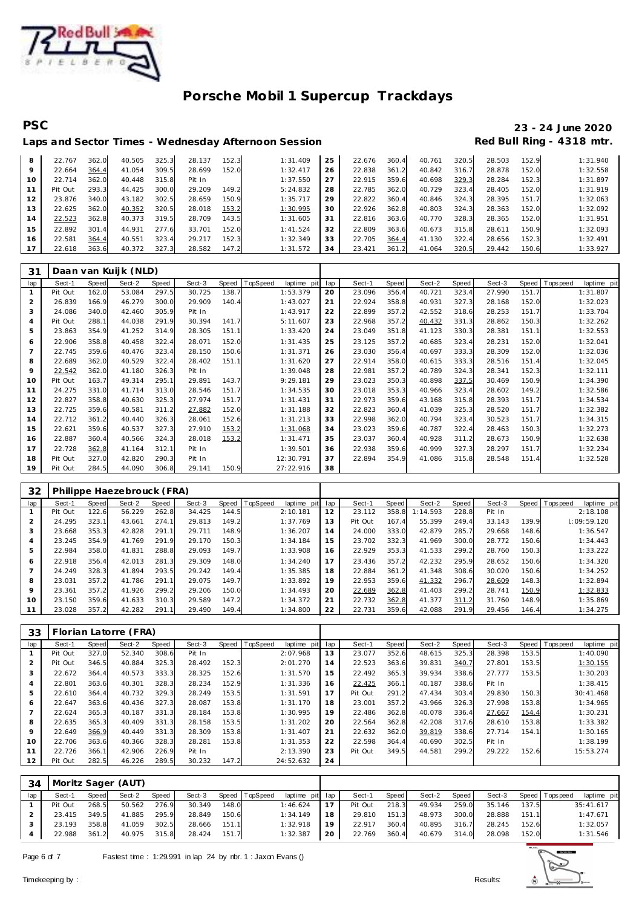

# **PSC 23 - 24 June 2020**

### Laps and Sector Times - Wednesday Afternoon Session **Red Bull Ring - 4318 mtr.**

| 8  | 22.767  | 362.0 | 40.505 | 325.3 | 28.137 | 152.3 | 1:31.409 | 25 | 22.676 | 360.4 | 40.761 | 320.5 | 28.503 | 152.9 | 1:31.940 |
|----|---------|-------|--------|-------|--------|-------|----------|----|--------|-------|--------|-------|--------|-------|----------|
| 9  | 22.664  | 364.4 | 41.054 | 309.5 | 28.699 | 152.0 | 1:32.417 | 26 | 22.838 | 361.2 | 40.842 | 316.7 | 28.878 | 152.0 | 1:32.558 |
| 10 | 22.714  | 362.0 | 40.448 | 315.8 | Pit In |       | 1:37.550 | 27 | 22.915 | 359.6 | 40.698 | 329.3 | 28.284 | 152.3 | 1:31.897 |
|    | Pit Out | 293.3 | 44.425 | 300.0 | 29.209 | 149.2 | 5:24.832 | 28 | 22.785 | 362.0 | 40.729 | 323.4 | 28.405 | 152.0 | 1:31.919 |
|    | 23.876  | 340.0 | 43.182 | 302.5 | 28.659 | 150.9 | 1:35.717 | 29 | 22.822 | 360.4 | 40.846 | 324.3 | 28.395 | 151.7 | 1:32.063 |
| 13 | 22.625  | 362.0 | 40.352 | 320.5 | 28.018 | 153.2 | 1:30.995 | 30 | 22.926 | 362.8 | 40.803 | 324.3 | 28.363 | 152.0 | 1:32.092 |
| 14 | 22.523  | 362.8 | 40.373 | 319.5 | 28.709 | 143.5 | 1:31.605 | 31 | 22.816 | 363.6 | 40.770 | 328.3 | 28.365 | 152.0 | 1:31.951 |
| 15 | 22.892  | 301.4 | 44.931 | 277.6 | 33.701 | 152.0 | 1:41.524 | 32 | 22.809 | 363.6 | 40.673 | 315.8 | 28.611 | 150.9 | 1:32.093 |
| 16 | 22.581  | 364.4 | 40.551 | 323.4 | 29.217 | 152.3 | 1:32.349 | 33 | 22.705 | 364.4 | 41.130 | 322.4 | 28.656 | 152.3 | 1:32.491 |
|    | 22.618  | 363.6 | 40.372 | 327.3 | 28.582 | 147.2 | 1:31.572 | 34 | 23.421 | 361.2 | 41.064 | 320.5 | 29.442 | 150.6 | 1:33.927 |

| 31  |         |              | Daan van Kuijk (NLD) |       |        |       |          |             |     |        |       |        |       |        |       |                |             |
|-----|---------|--------------|----------------------|-------|--------|-------|----------|-------------|-----|--------|-------|--------|-------|--------|-------|----------------|-------------|
| lap | Sect-1  | <b>Speed</b> | Sect-2               | Speed | Sect-3 | Speed | TopSpeed | laptime pit | lap | Sect-1 | Speed | Sect-2 | Speed | Sect-3 |       | Speed Topspeed | laptime pit |
|     | Pit Out | 162.0        | 53.084               | 297.5 | 30.725 | 138.7 |          | 1:53.379    | 20  | 23.096 | 356.4 | 40.721 | 323.4 | 27.990 | 151.7 |                | 1:31.807    |
| 2   | 26.839  | 166.9        | 46.279               | 300.0 | 29.909 | 140.4 |          | 1:43.027    | 21  | 22.924 | 358.8 | 40.931 | 327.3 | 28.168 | 152.0 |                | 1:32.023    |
| 3   | 24.086  | 340.0        | 42.460               | 305.9 | Pit In |       |          | 1:43.917    | 22  | 22.899 | 357.2 | 42.552 | 318.6 | 28.253 | 151.7 |                | 1:33.704    |
| 4   | Pit Out | 288.1        | 44.038               | 291.9 | 30.394 | 141.7 |          | 5:11.607    | 23  | 22.968 | 357.2 | 40.432 | 331.3 | 28.862 | 150.3 |                | 1:32.262    |
| 5   | 23.863  | 354.9        | 41.252               | 314.9 | 28.305 | 151.1 |          | 1:33.420    | 24  | 23.049 | 351.8 | 41.123 | 330.3 | 28.381 | 151.1 |                | 1:32.553    |
| 6   | 22.906  | 358.8        | 40.458               | 322.4 | 28.071 | 152.0 |          | 1:31.435    | 25  | 23.125 | 357.2 | 40.685 | 323.4 | 28.231 | 152.0 |                | 1:32.041    |
|     | 22.745  | 359.6        | 40.476               | 323.4 | 28.150 | 150.6 |          | 1:31.371    | 26  | 23.030 | 356.4 | 40.697 | 333.3 | 28.309 | 152.0 |                | 1:32.036    |
| 8   | 22.689  | 362.0        | 40.529               | 322.4 | 28.402 | 151.1 |          | 1:31.620    | 27  | 22.914 | 358.0 | 40.615 | 333.3 | 28.516 | 151.4 |                | 1:32.045    |
| 9   | 22.542  | 362.0        | 41.180               | 326.3 | Pit In |       |          | 1:39.048    | 28  | 22.981 | 357.2 | 40.789 | 324.3 | 28.341 | 152.3 |                | 1:32.111    |
| 10  | Pit Out | 163.7        | 49.314               | 295.1 | 29.891 | 143.7 |          | 9:29.181    | 29  | 23.023 | 350.3 | 40.898 | 337.5 | 30.469 | 150.9 |                | 1:34.390    |
| 11  | 24.275  | 331.0        | 41.714               | 313.0 | 28.546 | 151.7 |          | 1:34.535    | 30  | 23.018 | 353.3 | 40.966 | 323.4 | 28.602 | 149.2 |                | 1:32.586    |
| 12  | 22.827  | 358.8        | 40.630               | 325.3 | 27.974 | 151.7 |          | 1:31.431    | 31  | 22.973 | 359.6 | 43.168 | 315.8 | 28.393 | 151.7 |                | 1:34.534    |
| 13  | 22.725  | 359.6        | 40.581               | 311.2 | 27.882 | 152.0 |          | 1:31.188    | 32  | 22.823 | 360.4 | 41.039 | 325.3 | 28.520 | 151.7 |                | 1:32.382    |
| 14  | 22.712  | 361.2        | 40.440               | 326.3 | 28.061 | 152.6 |          | 1:31.213    | 33  | 22.998 | 362.0 | 40.794 | 323.4 | 30.523 | 151.7 |                | 1:34.315    |
| 15  | 22.621  | 359.6        | 40.537               | 327.3 | 27.910 | 153.2 |          | 1:31.068    | 34  | 23.023 | 359.6 | 40.787 | 322.4 | 28.463 | 150.3 |                | 1:32.273    |
| 16  | 22.887  | 360.4        | 40.566               | 324.3 | 28.018 | 153.2 |          | 1:31.471    | 35  | 23.037 | 360.4 | 40.928 | 311.2 | 28.673 | 150.9 |                | 1:32.638    |
| 17  | 22.728  | 362.8        | 41.164               | 312.1 | Pit In |       |          | 1:39.501    | 36  | 22.938 | 359.6 | 40.999 | 327.3 | 28.297 | 151.7 |                | 1:32.234    |
| 18  | Pit Out | 327.0        | 42.820               | 290.3 | Pit In |       |          | 12:30.791   | 37  | 22.894 | 354.9 | 41.086 | 315.8 | 28.548 | 151.4 |                | 1:32.528    |
| 19  | Pit Out | 284.5        | 44.090               | 306.8 | 29.141 | 150.9 |          | 27:22.916   | 38  |        |       |        |       |        |       |                |             |

| 32      |         |       | Philippe Haezebrouck (FRA) |       |        |       |                |                |     |         |       |          |       |        |       |                           |
|---------|---------|-------|----------------------------|-------|--------|-------|----------------|----------------|-----|---------|-------|----------|-------|--------|-------|---------------------------|
| lap     | Sect-1  | Speed | Sect-2                     | Speed | Sect-3 |       | Speed TopSpeed | laptime<br>pit | lap | Sect-1  | Speed | Sect-2   | Speed | Sect-3 | Speed | T ops peed<br>laptime pit |
|         | Pit Out | 122.6 | 56.229                     | 262.8 | 34.425 | 144.5 |                | 2:10.181       | 12  | 23.112  | 358.8 | 1:14.593 | 228.8 | Pit In |       | 2:18.108                  |
|         | 24.295  | 323.1 | 43.661                     | 274.1 | 29.813 | 149.2 |                | 1:37.769       | 13  | Pit Out | 167.4 | 55.399   | 249.4 | 33.143 | 139.9 | 1:09:59.120               |
| 3       | 23.668  | 353.3 | 42.828                     | 291.1 | 29.711 | 148.9 |                | 1:36.207       | 14  | 24.000  | 333.0 | 42.879   | 285.7 | 29.668 | 148.6 | 1:36.547                  |
| 4       | 23.245  | 354.9 | 41.769                     | 291.9 | 29.170 | 150.3 |                | 1:34.184       | 15  | 23.702  | 332.3 | 41.969   | 300.0 | 28.772 | 150.6 | 1:34.443                  |
| 5       | 22.984  | 358.0 | 41.831                     | 288.8 | 29.093 | 149.7 |                | 1:33.908       | 16  | 22.929  | 353.3 | 41.533   | 299.2 | 28.760 | 150.3 | 1:33.222                  |
| 6       | 22.918  | 356.4 | 42.013                     | 281.3 | 29.309 | 148.0 |                | 1:34.240       | 17  | 23.436  | 357.2 | 42.232   | 295.9 | 28.652 | 150.6 | 1:34.320                  |
|         | 24.249  | 328.3 | 41.894                     | 293.5 | 29.242 | 149.4 |                | 1:35.385       | 18  | 22.884  | 361.2 | 41.348   | 308.6 | 30.020 | 150.6 | 1:34.252                  |
| 8       | 23.031  | 357.2 | 41.786                     | 291.1 | 29.075 | 149.7 |                | 1:33.892       | 19  | 22.953  | 359.6 | 41.332   | 296.7 | 28.609 | 148.3 | 1:32.894                  |
| $\circ$ | 23.361  | 357.2 | 41.926                     | 299.2 | 29.206 | 150.C |                | 1:34.493       | 20  | 22.689  | 362.8 | 41.403   | 299.2 | 28.741 | 150.9 | 1:32.833                  |
| 10      | 23.150  | 359.6 | 41.633                     | 310.3 | 29.589 | 147.2 |                | 1:34.372       | 21  | 22.732  | 362.8 | 41.377   | 311.2 | 31.760 | 148.9 | 1:35.869                  |
| 11      | 23.028  | 357.2 | 42.282                     | 291.1 | 29.490 | 149.4 |                | 1:34.800       | 22  | 22.731  | 359.6 | 42.088   | 291.9 | 29.456 | 146.4 | 1:34.275                  |

| 33             |         |       | Florian Latorre (FRA) |       |        |       |          |             |     |         |       |        |       |        |       |                                |
|----------------|---------|-------|-----------------------|-------|--------|-------|----------|-------------|-----|---------|-------|--------|-------|--------|-------|--------------------------------|
| lap            | Sect-1  | Speed | Sect-2                | Speed | Sect-3 | Speed | TopSpeed | laptime pit | lap | Sect-1  | Speed | Sect-2 | Speed | Sect-3 |       | Speed Tops peed<br>laptime pit |
|                | Pit Out | 327.0 | 52.340                | 308.6 | Pit In |       |          | 2:07.968    | 13  | 23.077  | 352.6 | 48.615 | 325.3 | 28.398 | 153.5 | 1:40.090                       |
| $\overline{2}$ | Pit Out | 346.5 | 40.884                | 325.3 | 28.492 | 152.3 |          | 2:01.270    | 14  | 22.523  | 363.6 | 39.831 | 340.7 | 27.801 | 153.5 | 1:30.155                       |
| 3              | 22.672  | 364.4 | 40.573                | 333.3 | 28.325 | 152.6 |          | 1:31.570    | 15  | 22.492  | 365.3 | 39.934 | 338.6 | 27.777 | 153.5 | 1:30.203                       |
| 4              | 22.801  | 363.6 | 40.301                | 328.3 | 28.234 | 152.9 |          | 1:31.336    | 16  | 22.425  | 366.1 | 40.187 | 338.6 | Pit In |       | 1:38.415                       |
| 5              | 22.610  | 364.4 | 40.732                | 329.3 | 28.249 | 153.5 |          | 1:31.591    | 17  | Pit Out | 291.2 | 47.434 | 303.4 | 29.830 | 150.3 | 30:41.468                      |
| 6              | 22.647  | 363.6 | 40.436                | 327.3 | 28.087 | 153.8 |          | 1:31.170    | 18  | 23.001  | 357.2 | 43.966 | 326.3 | 27.998 | 153.8 | 1:34.965                       |
|                | 22.624  | 365.3 | 40.187                | 331.3 | 28.184 | 153.8 |          | 1:30.995    | 19  | 22.486  | 362.8 | 40.078 | 336.4 | 27.667 | 154.4 | 1:30.231                       |
| 8              | 22.635  | 365.3 | 40.409                | 331.3 | 28.158 | 153.5 |          | 1:31.202    | 20  | 22.564  | 362.8 | 42.208 | 317.6 | 28.610 | 153.8 | 1:33.382                       |
| 9              | 22.649  | 366.9 | 40.449                | 331.3 | 28.309 | 153.8 |          | 1:31.407    | 21  | 22.632  | 362.0 | 39.819 | 338.6 | 27.714 | 154.1 | 1:30.165                       |
| 10             | 22.706  | 363.6 | 40.366                | 328.3 | 28.281 | 153.8 |          | 1:31.353    | 22  | 22.598  | 364.4 | 40.690 | 302.5 | Pit In |       | 1:38.199                       |
| 11             | 22.726  | 366.1 | 42.906                | 226.9 | Pit In |       |          | 2:13.390    | 23  | Pit Out | 349.5 | 44.581 | 299.2 | 29.222 | 152.6 | 15:53.274                      |
| 12             | Pit Out | 282.5 | 46.226                | 289.5 | 30.232 | 147.2 |          | 24:52.632   | 24  |         |       |        |       |        |       |                                |

| 34  |              |       | Moritz Sager (AUT) |       |        |       |                |                 |    |              |       |        |       |        |       |                       |             |
|-----|--------------|-------|--------------------|-------|--------|-------|----------------|-----------------|----|--------------|-------|--------|-------|--------|-------|-----------------------|-------------|
| lap | Sect-1       | Speed | Sect-2             | Speed | Sect-3 |       | Speed TopSpeed | laptime pit lap |    | Sect-1       | Speed | Sect-2 | Speed |        |       | Sect-3 Speed Topspeed | laptime pit |
|     | Pit Out      | 268.5 | 50.562             | 276.9 | 30.349 | 148.0 |                | 1:46.624        | 17 | Pit Out      | 218.3 | 49.934 | 259.0 | 35.146 | 137.5 | 35:41.617             |             |
|     | 23.415 349.5 |       | 41.885 295.9       |       | 28.849 | 150.6 |                | 1:34.149        | 18 | 29.810       | 151.3 | 48.973 | 300.0 | 28.888 | 151.1 |                       | 1:47.671    |
|     | 23.193       | 358.8 | 41.059             | 302.5 | 28.666 | 151.1 |                | 1:32.918        | 19 | 22.917       | 360.4 | 40.895 | 316.7 | 28.245 | 152.6 |                       | 1:32.057    |
|     | 22.988 361.2 |       | 40.975 315.8       |       | 28.424 | 151.7 |                | 1:32.387        | 20 | 22.769 360.4 |       | 40.679 | 314.0 | 28.098 | 152.0 |                       | 1:31.546    |